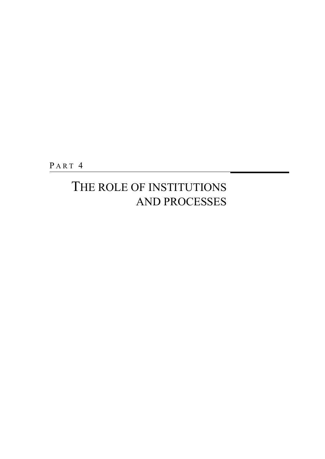PART<sub>4</sub>

## THE ROLE OF INSTITUTIONS AND PROCESSES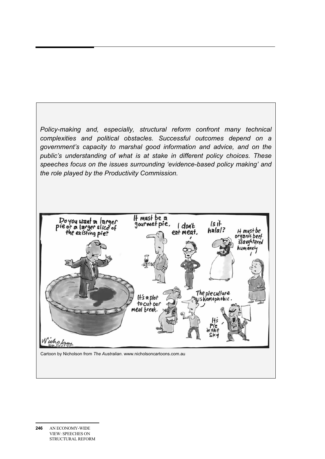*Policy-making and, especially, structural reform confront many technical complexities and political obstacles. Successful outcomes depend on a government's capacity to marshal good information and advice, and on the public's understanding of what is at stake in different policy choices. These speeches focus on the issues surrounding 'evidence-based policy making' and the role played by the Productivity Commission.* 



Cartoon by Nicholson from *The Australian*. www.nicholsoncartoons.com.au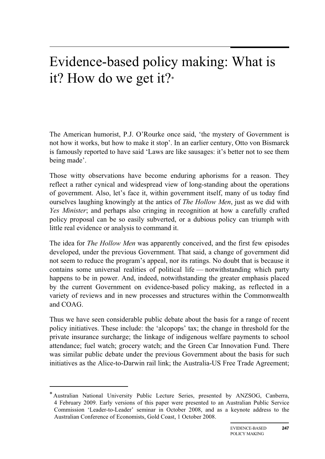# Evidence-based policy making: What is it? How do we get it?\*

The American humorist, P.J. O'Rourke once said, 'the mystery of Government is not how it works, but how to make it stop'. In an earlier century, Otto von Bismarck is famously reported to have said 'Laws are like sausages: it's better not to see them being made'.

Those witty observations have become enduring aphorisms for a reason. They reflect a rather cynical and widespread view of long-standing about the operations of government. Also, let's face it, within government itself, many of us today find ourselves laughing knowingly at the antics of *The Hollow Men*, just as we did with *Yes Minister*; and perhaps also cringing in recognition at how a carefully crafted policy proposal can be so easily subverted, or a dubious policy can triumph with little real evidence or analysis to command it.

The idea for *The Hollow Men* was apparently conceived, and the first few episodes developed, under the previous Government. That said, a change of government did not seem to reduce the program's appeal, nor its ratings. No doubt that is because it contains some universal realities of political life — notwithstanding which party happens to be in power. And, indeed, notwithstanding the greater emphasis placed by the current Government on evidence-based policy making, as reflected in a variety of reviews and in new processes and structures within the Commonwealth and COAG.

Thus we have seen considerable public debate about the basis for a range of recent policy initiatives. These include: the 'alcopops' tax; the change in threshold for the private insurance surcharge; the linkage of indigenous welfare payments to school attendance; fuel watch; grocery watch; and the Green Car Innovation Fund. There was similar public debate under the previous Government about the basis for such initiatives as the Alice-to-Darwin rail link; the Australia-US Free Trade Agreement;

 $\overline{a}$ 

<sup>\*</sup> Australian National University Public Lecture Series, presented by ANZSOG, Canberra, 4 February 2009. Early versions of this paper were presented to an Australian Public Service Commission 'Leader-to-Leader' seminar in October 2008, and as a keynote address to the Australian Conference of Economists, Gold Coast, 1 October 2008.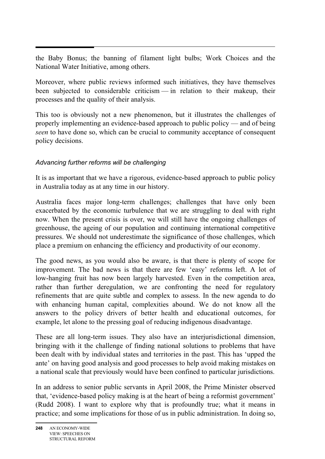the Baby Bonus; the banning of filament light bulbs; Work Choices and the National Water Initiative, among others.

Moreover, where public reviews informed such initiatives, they have themselves been subjected to considerable criticism — in relation to their makeup, their processes and the quality of their analysis.

This too is obviously not a new phenomenon, but it illustrates the challenges of properly implementing an evidence-based approach to public policy — and of being *seen* to have done so, which can be crucial to community acceptance of consequent policy decisions.

## *Advancing further reforms will be challenging*

It is as important that we have a rigorous, evidence-based approach to public policy in Australia today as at any time in our history.

Australia faces major long-term challenges; challenges that have only been exacerbated by the economic turbulence that we are struggling to deal with right now. When the present crisis is over, we will still have the ongoing challenges of greenhouse, the ageing of our population and continuing international competitive pressures. We should not underestimate the significance of those challenges, which place a premium on enhancing the efficiency and productivity of our economy.

The good news, as you would also be aware, is that there is plenty of scope for improvement. The bad news is that there are few 'easy' reforms left. A lot of low-hanging fruit has now been largely harvested. Even in the competition area, rather than further deregulation, we are confronting the need for regulatory refinements that are quite subtle and complex to assess. In the new agenda to do with enhancing human capital, complexities abound. We do not know all the answers to the policy drivers of better health and educational outcomes, for example, let alone to the pressing goal of reducing indigenous disadvantage.

These are all long-term issues. They also have an interjurisdictional dimension, bringing with it the challenge of finding national solutions to problems that have been dealt with by individual states and territories in the past. This has 'upped the ante' on having good analysis and good processes to help avoid making mistakes on a national scale that previously would have been confined to particular jurisdictions.

In an address to senior public servants in April 2008, the Prime Minister observed that, 'evidence-based policy making is at the heart of being a reformist government' (Rudd 2008). I want to explore why that is profoundly true; what it means in practice; and some implications for those of us in public administration. In doing so,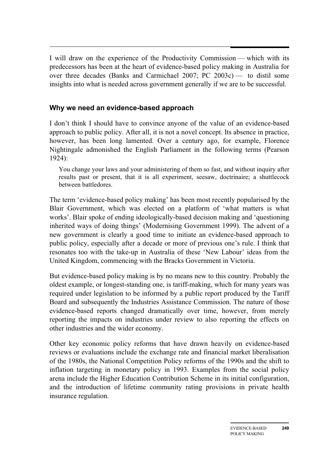$\overline{a}$ I will draw on the experience of the Productivity Commission — which with its predecessors has been at the heart of evidence-based policy making in Australia for over three decades (Banks and Carmichael 2007; PC 2003c) — to distil some insights into what is needed across government generally if we are to be successful.

## **Why we need an evidence-based approach**

I don't think I should have to convince anyone of the value of an evidence-based approach to public policy. After all, it is not a novel concept. Its absence in practice, however, has been long lamented. Over a century ago, for example, Florence Nightingale admonished the English Parliament in the following terms (Pearson 1924):

You change your laws and your administering of them so fast, and without inquiry after results past or present, that it is all experiment, seesaw, doctrinaire; a shuttlecock between battledores.

The term 'evidence-based policy making' has been most recently popularised by the Blair Government, which was elected on a platform of 'what matters is what works'. Blair spoke of ending ideologically-based decision making and 'questioning inherited ways of doing things' (Modernising Government 1999). The advent of a new government is clearly a good time to initiate an evidence-based approach to public policy, especially after a decade or more of previous one's rule. I think that resonates too with the take-up in Australia of these 'New Labour' ideas from the United Kingdom, commencing with the Bracks Government in Victoria.

But evidence-based policy making is by no means new to this country. Probably the oldest example, or longest-standing one, is tariff-making, which for many years was required under legislation to be informed by a public report produced by the Tariff Board and subsequently the Industries Assistance Commission. The nature of those evidence-based reports changed dramatically over time, however, from merely reporting the impacts on industries under review to also reporting the effects on other industries and the wider economy.

Other key economic policy reforms that have drawn heavily on evidence-based reviews or evaluations include the exchange rate and financial market liberalisation of the 1980s, the National Competition Policy reforms of the 1990s and the shift to inflation targeting in monetary policy in 1993. Examples from the social policy arena include the Higher Education Contribution Scheme in its initial configuration, and the introduction of lifetime community rating provisions in private health insurance regulation.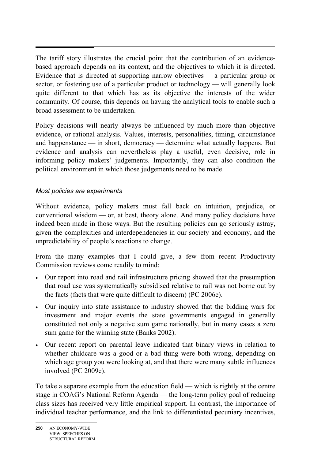$\overline{a}$ The tariff story illustrates the crucial point that the contribution of an evidencebased approach depends on its context, and the objectives to which it is directed. Evidence that is directed at supporting narrow objectives — a particular group or sector, or fostering use of a particular product or technology — will generally look quite different to that which has as its objective the interests of the wider community. Of course, this depends on having the analytical tools to enable such a broad assessment to be undertaken.

Policy decisions will nearly always be influenced by much more than objective evidence, or rational analysis. Values, interests, personalities, timing, circumstance and happenstance — in short, democracy — determine what actually happens. But evidence and analysis can nevertheless play a useful, even decisive, role in informing policy makers' judgements. Importantly, they can also condition the political environment in which those judgements need to be made.

### *Most policies are experiments*

Without evidence, policy makers must fall back on intuition, prejudice, or conventional wisdom — or, at best, theory alone. And many policy decisions have indeed been made in those ways. But the resulting policies can go seriously astray, given the complexities and interdependencies in our society and economy, and the unpredictability of people's reactions to change.

From the many examples that I could give, a few from recent Productivity Commission reviews come readily to mind:

- Our report into road and rail infrastructure pricing showed that the presumption that road use was systematically subsidised relative to rail was not borne out by the facts (facts that were quite difficult to discern) (PC 2006e).
- Our inquiry into state assistance to industry showed that the bidding wars for investment and major events the state governments engaged in generally constituted not only a negative sum game nationally, but in many cases a zero sum game for the winning state (Banks 2002).
- Our recent report on parental leave indicated that binary views in relation to whether childcare was a good or a bad thing were both wrong, depending on which age group you were looking at, and that there were many subtle influences involved (PC 2009c).

To take a separate example from the education field — which is rightly at the centre stage in COAG's National Reform Agenda — the long-term policy goal of reducing class sizes has received very little empirical support. In contrast, the importance of individual teacher performance, and the link to differentiated pecuniary incentives,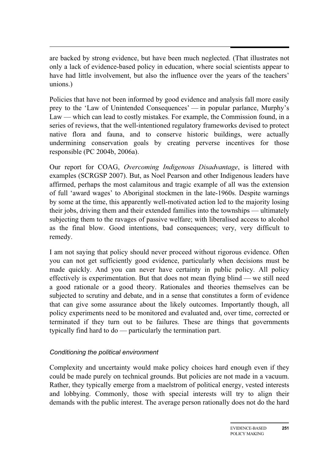are backed by strong evidence, but have been much neglected. (That illustrates not only a lack of evidence-based policy in education, where social scientists appear to have had little involvement, but also the influence over the years of the teachers' unions.)

Policies that have not been informed by good evidence and analysis fall more easily prey to the 'Law of Unintended Consequences' — in popular parlance, Murphy's Law — which can lead to costly mistakes. For example, the Commission found, in a series of reviews, that the well-intentioned regulatory frameworks devised to protect native flora and fauna, and to conserve historic buildings, were actually undermining conservation goals by creating perverse incentives for those responsible (PC 2004b, 2006a).

Our report for COAG, *Overcoming Indigenous Disadvantage*, is littered with examples (SCRGSP 2007). But, as Noel Pearson and other Indigenous leaders have affirmed, perhaps the most calamitous and tragic example of all was the extension of full 'award wages' to Aboriginal stockmen in the late-1960s. Despite warnings by some at the time, this apparently well-motivated action led to the majority losing their jobs, driving them and their extended families into the townships — ultimately subjecting them to the ravages of passive welfare; with liberalised access to alcohol as the final blow. Good intentions, bad consequences; very, very difficult to remedy.

I am not saying that policy should never proceed without rigorous evidence. Often you can not get sufficiently good evidence, particularly when decisions must be made quickly. And you can never have certainty in public policy. All policy effectively is experimentation. But that does not mean flying blind — we still need a good rationale or a good theory. Rationales and theories themselves can be subjected to scrutiny and debate, and in a sense that constitutes a form of evidence that can give some assurance about the likely outcomes. Importantly though, all policy experiments need to be monitored and evaluated and, over time, corrected or terminated if they turn out to be failures. These are things that governments typically find hard to do — particularly the termination part.

### *Conditioning the political environment*

Complexity and uncertainty would make policy choices hard enough even if they could be made purely on technical grounds. But policies are not made in a vacuum. Rather, they typically emerge from a maelstrom of political energy, vested interests and lobbying. Commonly, those with special interests will try to align their demands with the public interest. The average person rationally does not do the hard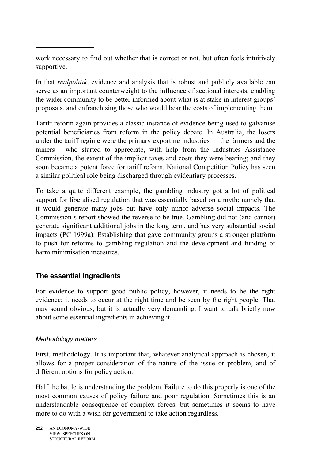work necessary to find out whether that is correct or not, but often feels intuitively supportive.

In that *realpolitik*, evidence and analysis that is robust and publicly available can serve as an important counterweight to the influence of sectional interests, enabling the wider community to be better informed about what is at stake in interest groups' proposals, and enfranchising those who would bear the costs of implementing them.

Tariff reform again provides a classic instance of evidence being used to galvanise potential beneficiaries from reform in the policy debate. In Australia, the losers under the tariff regime were the primary exporting industries — the farmers and the miners — who started to appreciate, with help from the Industries Assistance Commission, the extent of the implicit taxes and costs they were bearing; and they soon became a potent force for tariff reform. National Competition Policy has seen a similar political role being discharged through evidentiary processes.

To take a quite different example, the gambling industry got a lot of political support for liberalised regulation that was essentially based on a myth: namely that it would generate many jobs but have only minor adverse social impacts. The Commission's report showed the reverse to be true. Gambling did not (and cannot) generate significant additional jobs in the long term, and has very substantial social impacts (PC 1999a). Establishing that gave community groups a stronger platform to push for reforms to gambling regulation and the development and funding of harm minimisation measures.

## **The essential ingredients**

For evidence to support good public policy, however, it needs to be the right evidence; it needs to occur at the right time and be seen by the right people. That may sound obvious, but it is actually very demanding. I want to talk briefly now about some essential ingredients in achieving it.

### *Methodology matters*

First, methodology. It is important that, whatever analytical approach is chosen, it allows for a proper consideration of the nature of the issue or problem, and of different options for policy action.

Half the battle is understanding the problem. Failure to do this properly is one of the most common causes of policy failure and poor regulation. Sometimes this is an understandable consequence of complex forces, but sometimes it seems to have more to do with a wish for government to take action regardless.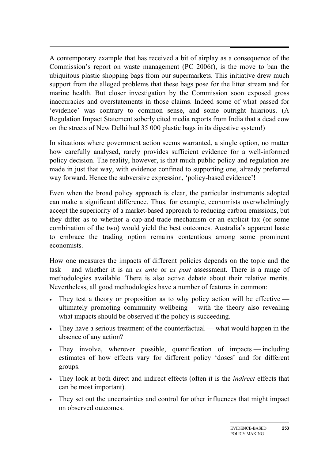A contemporary example that has received a bit of airplay as a consequence of the Commission's report on waste management (PC 2006f), is the move to ban the ubiquitous plastic shopping bags from our supermarkets. This initiative drew much support from the alleged problems that these bags pose for the litter stream and for marine health. But closer investigation by the Commission soon exposed gross inaccuracies and overstatements in those claims. Indeed some of what passed for 'evidence' was contrary to common sense, and some outright hilarious. (A Regulation Impact Statement soberly cited media reports from India that a dead cow on the streets of New Delhi had 35 000 plastic bags in its digestive system!)

In situations where government action seems warranted, a single option, no matter how carefully analysed, rarely provides sufficient evidence for a well-informed policy decision. The reality, however, is that much public policy and regulation are made in just that way, with evidence confined to supporting one, already preferred way forward. Hence the subversive expression, 'policy-based evidence'!

Even when the broad policy approach is clear, the particular instruments adopted can make a significant difference. Thus, for example, economists overwhelmingly accept the superiority of a market-based approach to reducing carbon emissions, but they differ as to whether a cap-and-trade mechanism or an explicit tax (or some combination of the two) would yield the best outcomes. Australia's apparent haste to embrace the trading option remains contentious among some prominent economists.

How one measures the impacts of different policies depends on the topic and the task — and whether it is an *ex ante* or *ex post* assessment. There is a range of methodologies available. There is also active debate about their relative merits. Nevertheless, all good methodologies have a number of features in common:

- They test a theory or proposition as to why policy action will be effective ultimately promoting community wellbeing — with the theory also revealing what impacts should be observed if the policy is succeeding.
- They have a serious treatment of the counterfactual what would happen in the absence of any action?
- They involve, wherever possible, quantification of impacts including estimates of how effects vary for different policy 'doses' and for different groups.
- They look at both direct and indirect effects (often it is the *indirect* effects that can be most important).
- They set out the uncertainties and control for other influences that might impact on observed outcomes.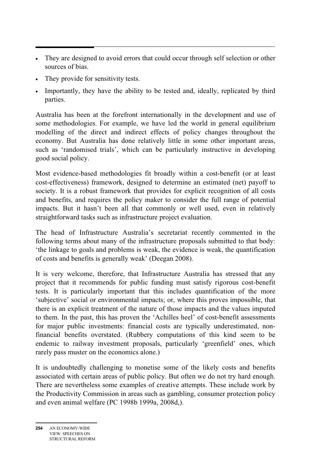- They are designed to avoid errors that could occur through self selection or other sources of bias.
- They provide for sensitivity tests.
- Importantly, they have the ability to be tested and, ideally, replicated by third parties.

Australia has been at the forefront internationally in the development and use of some methodologies. For example, we have led the world in general equilibrium modelling of the direct and indirect effects of policy changes throughout the economy. But Australia has done relatively little in some other important areas, such as 'randomised trials', which can be particularly instructive in developing good social policy.

Most evidence-based methodologies fit broadly within a cost-benefit (or at least cost-effectiveness) framework, designed to determine an estimated (net) payoff to society. It is a robust framework that provides for explicit recognition of all costs and benefits, and requires the policy maker to consider the full range of potential impacts. But it hasn't been all that commonly or well used, even in relatively straightforward tasks such as infrastructure project evaluation.

The head of Infrastructure Australia's secretariat recently commented in the following terms about many of the infrastructure proposals submitted to that body: 'the linkage to goals and problems is weak, the evidence is weak, the quantification of costs and benefits is generally weak' (Deegan 2008).

It is very welcome, therefore, that Infrastructure Australia has stressed that any project that it recommends for public funding must satisfy rigorous cost-benefit tests. It is particularly important that this includes quantification of the more 'subjective' social or environmental impacts; or, where this proves impossible, that there is an explicit treatment of the nature of those impacts and the values imputed to them. In the past, this has proven the 'Achilles heel' of cost-benefit assessments for major public investments: financial costs are typically underestimated, nonfinancial benefits overstated. (Rubbery computations of this kind seem to be endemic to railway investment proposals, particularly 'greenfield' ones, which rarely pass muster on the economics alone.)

It is undoubtedly challenging to monetise some of the likely costs and benefits associated with certain areas of public policy. But often we do not try hard enough. There are nevertheless some examples of creative attempts. These include work by the Productivity Commission in areas such as gambling, consumer protection policy and even animal welfare (PC 1998b 1999a, 2008d,).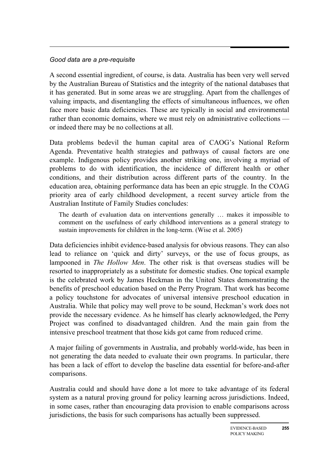#### *Good data are a pre-requisite*

A second essential ingredient, of course, is data. Australia has been very well served by the Australian Bureau of Statistics and the integrity of the national databases that it has generated. But in some areas we are struggling. Apart from the challenges of valuing impacts, and disentangling the effects of simultaneous influences, we often face more basic data deficiencies. These are typically in social and environmental rather than economic domains, where we must rely on administrative collections or indeed there may be no collections at all.

Data problems bedevil the human capital area of CAOG's National Reform Agenda. Preventative health strategies and pathways of causal factors are one example. Indigenous policy provides another striking one, involving a myriad of problems to do with identification, the incidence of different health or other conditions, and their distribution across different parts of the country. In the education area, obtaining performance data has been an epic struggle. In the COAG priority area of early childhood development, a recent survey article from the Australian Institute of Family Studies concludes:

The dearth of evaluation data on interventions generally … makes it impossible to comment on the usefulness of early childhood interventions as a general strategy to sustain improvements for children in the long-term. (Wise et al. 2005)

Data deficiencies inhibit evidence-based analysis for obvious reasons. They can also lead to reliance on 'quick and dirty' surveys, or the use of focus groups, as lampooned in *The Hollow Men*. The other risk is that overseas studies will be resorted to inappropriately as a substitute for domestic studies. One topical example is the celebrated work by James Heckman in the United States demonstrating the benefits of preschool education based on the Perry Program. That work has become a policy touchstone for advocates of universal intensive preschool education in Australia. While that policy may well prove to be sound, Heckman's work does not provide the necessary evidence. As he himself has clearly acknowledged, the Perry Project was confined to disadvantaged children. And the main gain from the intensive preschool treatment that those kids got came from reduced crime.

A major failing of governments in Australia, and probably world-wide, has been in not generating the data needed to evaluate their own programs. In particular, there has been a lack of effort to develop the baseline data essential for before-and-after comparisons.

Australia could and should have done a lot more to take advantage of its federal system as a natural proving ground for policy learning across jurisdictions. Indeed, in some cases, rather than encouraging data provision to enable comparisons across jurisdictions, the basis for such comparisons has actually been suppressed.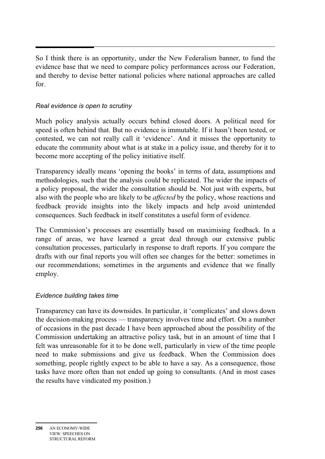$\overline{a}$ So I think there is an opportunity, under the New Federalism banner, to fund the evidence base that we need to compare policy performances across our Federation, and thereby to devise better national policies where national approaches are called for.

### *Real evidence is open to scrutiny*

Much policy analysis actually occurs behind closed doors. A political need for speed is often behind that. But no evidence is immutable. If it hasn't been tested, or contested, we can not really call it 'evidence'. And it misses the opportunity to educate the community about what is at stake in a policy issue, and thereby for it to become more accepting of the policy initiative itself.

Transparency ideally means 'opening the books' in terms of data, assumptions and methodologies, such that the analysis could be replicated. The wider the impacts of a policy proposal, the wider the consultation should be. Not just with experts, but also with the people who are likely to be *affected* by the policy, whose reactions and feedback provide insights into the likely impacts and help avoid unintended consequences. Such feedback in itself constitutes a useful form of evidence.

The Commission's processes are essentially based on maximising feedback. In a range of areas, we have learned a great deal through our extensive public consultation processes, particularly in response to draft reports. If you compare the drafts with our final reports you will often see changes for the better: sometimes in our recommendations; sometimes in the arguments and evidence that we finally employ.

### *Evidence building takes time*

Transparency can have its downsides. In particular, it 'complicates' and slows down the decision-making process — transparency involves time and effort. On a number of occasions in the past decade I have been approached about the possibility of the Commission undertaking an attractive policy task, but in an amount of time that I felt was unreasonable for it to be done well, particularly in view of the time people need to make submissions and give us feedback. When the Commission does something, people rightly expect to be able to have a say. As a consequence, those tasks have more often than not ended up going to consultants. (And in most cases the results have vindicated my position.)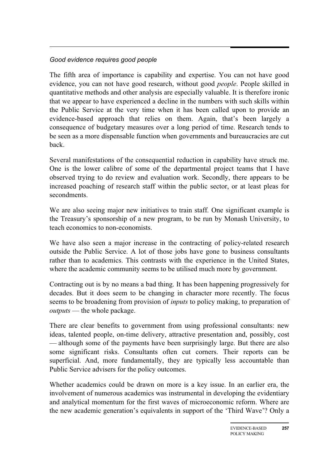### *Good evidence requires good people*

The fifth area of importance is capability and expertise. You can not have good evidence, you can not have good research, without good *people*. People skilled in quantitative methods and other analysis are especially valuable. It is therefore ironic that we appear to have experienced a decline in the numbers with such skills within the Public Service at the very time when it has been called upon to provide an evidence-based approach that relies on them. Again, that's been largely a consequence of budgetary measures over a long period of time. Research tends to be seen as a more dispensable function when governments and bureaucracies are cut back.

Several manifestations of the consequential reduction in capability have struck me. One is the lower calibre of some of the departmental project teams that I have observed trying to do review and evaluation work. Secondly, there appears to be increased poaching of research staff within the public sector, or at least pleas for secondments.

We are also seeing major new initiatives to train staff. One significant example is the Treasury's sponsorship of a new program, to be run by Monash University, to teach economics to non-economists.

We have also seen a major increase in the contracting of policy-related research outside the Public Service. A lot of those jobs have gone to business consultants rather than to academics. This contrasts with the experience in the United States, where the academic community seems to be utilised much more by government.

Contracting out is by no means a bad thing. It has been happening progressively for decades. But it does seem to be changing in character more recently. The focus seems to be broadening from provision of *inputs* to policy making, to preparation of *outputs* — the whole package.

There are clear benefits to government from using professional consultants: new ideas, talented people, on-time delivery, attractive presentation and, possibly, cost — although some of the payments have been surprisingly large. But there are also some significant risks. Consultants often cut corners. Their reports can be superficial. And, more fundamentally, they are typically less accountable than Public Service advisers for the policy outcomes.

Whether academics could be drawn on more is a key issue. In an earlier era, the involvement of numerous academics was instrumental in developing the evidentiary and analytical momentum for the first waves of microeconomic reform. Where are the new academic generation's equivalents in support of the 'Third Wave'? Only a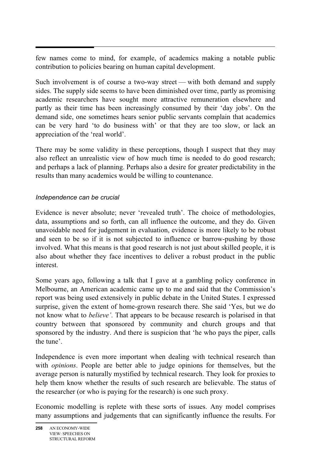$\overline{a}$ few names come to mind, for example, of academics making a notable public contribution to policies bearing on human capital development.

Such involvement is of course a two-way street — with both demand and supply sides. The supply side seems to have been diminished over time, partly as promising academic researchers have sought more attractive remuneration elsewhere and partly as their time has been increasingly consumed by their 'day jobs'. On the demand side, one sometimes hears senior public servants complain that academics can be very hard 'to do business with' or that they are too slow, or lack an appreciation of the 'real world'.

There may be some validity in these perceptions, though I suspect that they may also reflect an unrealistic view of how much time is needed to do good research; and perhaps a lack of planning. Perhaps also a desire for greater predictability in the results than many academics would be willing to countenance.

### *Independence can be crucial*

Evidence is never absolute; never 'revealed truth'. The choice of methodologies, data, assumptions and so forth, can all influence the outcome, and they do. Given unavoidable need for judgement in evaluation, evidence is more likely to be robust and seen to be so if it is not subjected to influence or barrow-pushing by those involved. What this means is that good research is not just about skilled people, it is also about whether they face incentives to deliver a robust product in the public interest.

Some years ago, following a talk that I gave at a gambling policy conference in Melbourne, an American academic came up to me and said that the Commission's report was being used extensively in public debate in the United States. I expressed surprise, given the extent of home-grown research there. She said 'Yes, but we do not know what to *believe'*. That appears to be because research is polarised in that country between that sponsored by community and church groups and that sponsored by the industry. And there is suspicion that 'he who pays the piper, calls the tune'.

Independence is even more important when dealing with technical research than with *opinions*. People are better able to judge opinions for themselves, but the average person is naturally mystified by technical research. They look for proxies to help them know whether the results of such research are believable. The status of the researcher (or who is paying for the research) is one such proxy.

Economic modelling is replete with these sorts of issues. Any model comprises many assumptions and judgements that can significantly influence the results. For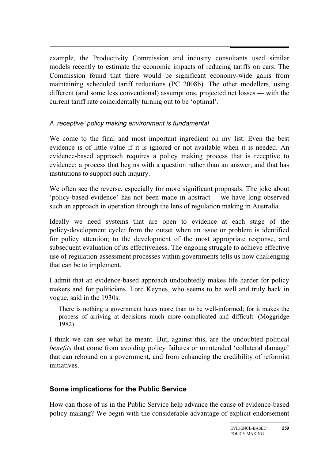example, the Productivity Commission and industry consultants used similar models recently to estimate the economic impacts of reducing tariffs on cars. The Commission found that there would be significant economy-wide gains from maintaining scheduled tariff reductions (PC 2008b). The other modellers, using different (and some less conventional) assumptions, projected net losses — with the current tariff rate coincidentally turning out to be 'optimal'.

## *A 'receptive' policy making environment is fundamental*

We come to the final and most important ingredient on my list. Even the best evidence is of little value if it is ignored or not available when it is needed. An evidence-based approach requires a policy making process that is receptive to evidence; a process that begins with a question rather than an answer, and that has institutions to support such inquiry.

We often see the reverse, especially for more significant proposals. The joke about 'policy-based evidence' has not been made in abstract — we have long observed such an approach in operation through the lens of regulation making in Australia.

Ideally we need systems that are open to evidence at each stage of the policy-development cycle: from the outset when an issue or problem is identified for policy attention; to the development of the most appropriate response, and subsequent evaluation of its effectiveness. The ongoing struggle to achieve effective use of regulation-assessment processes within governments tells us how challenging that can be to implement.

I admit that an evidence-based approach undoubtedly makes life harder for policy makers and for politicians. Lord Keynes, who seems to be well and truly back in vogue, said in the 1930s:

There is nothing a government hates more than to be well-informed; for it makes the process of arriving at decisions much more complicated and difficult. (Moggridge 1982)

I think we can see what he meant. But, against this, are the undoubted political *benefits* that come from avoiding policy failures or unintended 'collateral damage' that can rebound on a government, and from enhancing the credibility of reformist initiatives.

## **Some implications for the Public Service**

How can those of us in the Public Service help advance the cause of evidence-based policy making? We begin with the considerable advantage of explicit endorsement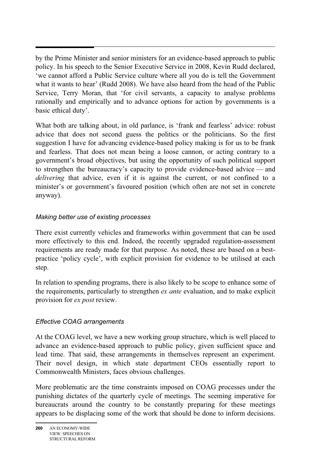$\overline{a}$ by the Prime Minister and senior ministers for an evidence-based approach to public policy. In his speech to the Senior Executive Service in 2008, Kevin Rudd declared, 'we cannot afford a Public Service culture where all you do is tell the Government what it wants to hear' (Rudd 2008). We have also heard from the head of the Public Service, Terry Moran, that 'for civil servants, a capacity to analyse problems rationally and empirically and to advance options for action by governments is a basic ethical duty'.

What both are talking about, in old parlance, is 'frank and fearless' advice: robust advice that does not second guess the politics or the politicians. So the first suggestion I have for advancing evidence-based policy making is for us to be frank and fearless. That does not mean being a loose cannon, or acting contrary to a government's broad objectives, but using the opportunity of such political support to strengthen the bureaucracy's capacity to provide evidence-based advice — and *delivering* that advice, even if it is against the current, or not confined to a minister's or government's favoured position (which often are not set in concrete anyway).

### *Making better use of existing processes*

There exist currently vehicles and frameworks within government that can be used more effectively to this end. Indeed, the recently upgraded regulation-assessment requirements are ready made for that purpose. As noted, these are based on a bestpractice 'policy cycle', with explicit provision for evidence to be utilised at each step.

In relation to spending programs, there is also likely to be scope to enhance some of the requirements, particularly to strengthen *ex ante* evaluation, and to make explicit provision for *ex post* review.

### *Effective COAG arrangements*

At the COAG level, we have a new working group structure, which is well placed to advance an evidence-based approach to public policy, given sufficient space and lead time. That said, these arrangements in themselves represent an experiment. Their novel design, in which state department CEOs essentially report to Commonwealth Ministers, faces obvious challenges.

More problematic are the time constraints imposed on COAG processes under the punishing dictates of the quarterly cycle of meetings. The seeming imperative for bureaucrats around the country to be constantly preparing for these meetings appears to be displacing some of the work that should be done to inform decisions.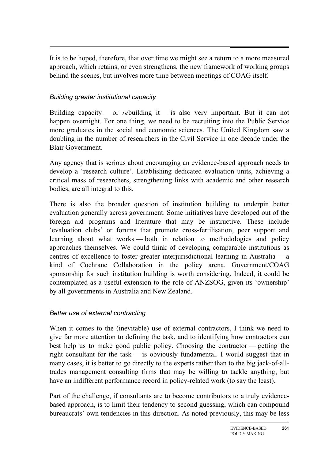$\overline{a}$ It is to be hoped, therefore, that over time we might see a return to a more measured approach, which retains, or even strengthens, the new framework of working groups behind the scenes, but involves more time between meetings of COAG itself.

### *Building greater institutional capacity*

Building capacity — or *re*building it — is also very important. But it can not happen overnight. For one thing, we need to be recruiting into the Public Service more graduates in the social and economic sciences. The United Kingdom saw a doubling in the number of researchers in the Civil Service in one decade under the Blair Government.

Any agency that is serious about encouraging an evidence-based approach needs to develop a 'research culture'. Establishing dedicated evaluation units, achieving a critical mass of researchers, strengthening links with academic and other research bodies, are all integral to this.

There is also the broader question of institution building to underpin better evaluation generally across government. Some initiatives have developed out of the foreign aid programs and literature that may be instructive. These include 'evaluation clubs' or forums that promote cross-fertilisation, peer support and learning about what works — both in relation to methodologies and policy approaches themselves. We could think of developing comparable institutions as centres of excellence to foster greater interjurisdictional learning in Australia — a kind of Cochrane Collaboration in the policy arena. Government/COAG sponsorship for such institution building is worth considering. Indeed, it could be contemplated as a useful extension to the role of ANZSOG, given its 'ownership' by all governments in Australia and New Zealand.

### *Better use of external contracting*

When it comes to the (inevitable) use of external contractors, I think we need to give far more attention to defining the task, and to identifying how contractors can best help us to make good public policy. Choosing the contractor — getting the right consultant for the task — is obviously fundamental. I would suggest that in many cases, it is better to go directly to the experts rather than to the big jack-of-alltrades management consulting firms that may be willing to tackle anything, but have an indifferent performance record in policy-related work (to say the least).

Part of the challenge, if consultants are to become contributors to a truly evidencebased approach, is to limit their tendency to second guessing, which can compound bureaucrats' own tendencies in this direction. As noted previously, this may be less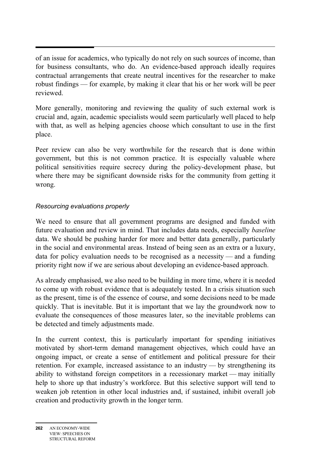of an issue for academics, who typically do not rely on such sources of income, than for business consultants, who do. An evidence-based approach ideally requires contractual arrangements that create neutral incentives for the researcher to make robust findings — for example, by making it clear that his or her work will be peer reviewed.

More generally, monitoring and reviewing the quality of such external work is crucial and, again, academic specialists would seem particularly well placed to help with that, as well as helping agencies choose which consultant to use in the first place.

Peer review can also be very worthwhile for the research that is done within government, but this is not common practice. It is especially valuable where political sensitivities require secrecy during the policy-development phase, but where there may be significant downside risks for the community from getting it wrong.

### *Resourcing evaluations properly*

We need to ensure that all government programs are designed and funded with future evaluation and review in mind. That includes data needs, especially *baseline* data. We should be pushing harder for more and better data generally, particularly in the social and environmental areas. Instead of being seen as an extra or a luxury, data for policy evaluation needs to be recognised as a necessity — and a funding priority right now if we are serious about developing an evidence-based approach.

As already emphasised, we also need to be building in more time, where it is needed to come up with robust evidence that is adequately tested. In a crisis situation such as the present, time is of the essence of course, and some decisions need to be made quickly. That is inevitable. But it is important that we lay the groundwork now to evaluate the consequences of those measures later, so the inevitable problems can be detected and timely adjustments made.

In the current context, this is particularly important for spending initiatives motivated by short-term demand management objectives, which could have an ongoing impact, or create a sense of entitlement and political pressure for their retention. For example, increased assistance to an industry — by strengthening its ability to withstand foreign competitors in a recessionary market — may initially help to shore up that industry's workforce. But this selective support will tend to weaken job retention in other local industries and, if sustained, inhibit overall job creation and productivity growth in the longer term.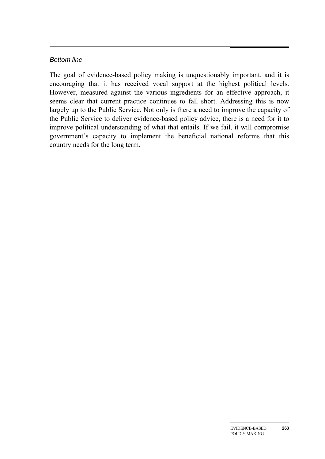#### *Bottom line*

The goal of evidence-based policy making is unquestionably important, and it is encouraging that it has received vocal support at the highest political levels. However, measured against the various ingredients for an effective approach, it seems clear that current practice continues to fall short. Addressing this is now largely up to the Public Service. Not only is there a need to improve the capacity of the Public Service to deliver evidence-based policy advice, there is a need for it to improve political understanding of what that entails. If we fail, it will compromise government's capacity to implement the beneficial national reforms that this country needs for the long term.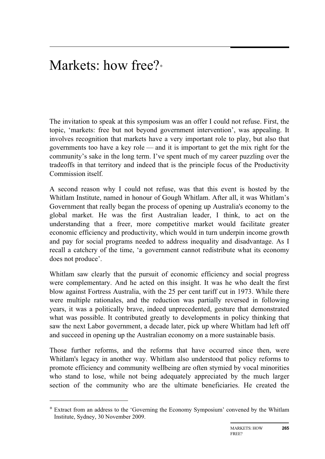## Markets: how free?<sup>∗</sup>

The invitation to speak at this symposium was an offer I could not refuse. First, the topic, 'markets: free but not beyond government intervention', was appealing. It involves recognition that markets have a very important role to play, but also that governments too have a key role — and it is important to get the mix right for the community's sake in the long term. I've spent much of my career puzzling over the tradeoffs in that territory and indeed that is the principle focus of the Productivity Commission itself.

A second reason why I could not refuse, was that this event is hosted by the Whitlam Institute, named in honour of Gough Whitlam. After all, it was Whitlam's Government that really began the process of opening up Australia's economy to the global market. He was the first Australian leader, I think, to act on the understanding that a freer, more competitive market would facilitate greater economic efficiency and productivity, which would in turn underpin income growth and pay for social programs needed to address inequality and disadvantage. As I recall a catchcry of the time, 'a government cannot redistribute what its economy does not produce'.

Whitlam saw clearly that the pursuit of economic efficiency and social progress were complementary. And he acted on this insight. It was he who dealt the first blow against Fortress Australia, with the 25 per cent tariff cut in 1973. While there were multiple rationales, and the reduction was partially reversed in following years, it was a politically brave, indeed unprecedented, gesture that demonstrated what was possible. It contributed greatly to developments in policy thinking that saw the next Labor government, a decade later, pick up where Whitlam had left off and succeed in opening up the Australian economy on a more sustainable basis.

Those further reforms, and the reforms that have occurred since then, were Whitlam's legacy in another way. Whitlam also understood that policy reforms to promote efficiency and community wellbeing are often stymied by vocal minorities who stand to lose, while not being adequately appreciated by the much larger section of the community who are the ultimate beneficiaries. He created the

 $\overline{a}$ 

<sup>∗</sup> Extract from an address to the 'Governing the Economy Symposium' convened by the Whitlam Institute, Sydney, 30 November 2009.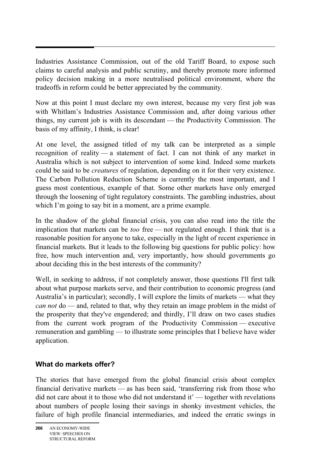Industries Assistance Commission, out of the old Tariff Board, to expose such claims to careful analysis and public scrutiny, and thereby promote more informed policy decision making in a more neutralised political environment, where the tradeoffs in reform could be better appreciated by the community.

Now at this point I must declare my own interest, because my very first job was with Whitlam's Industries Assistance Commission and, after doing various other things, my current job is with its descendant — the Productivity Commission. The basis of my affinity, I think, is clear!

At one level, the assigned titled of my talk can be interpreted as a simple recognition of reality — a statement of fact. I can not think of any market in Australia which is not subject to intervention of some kind. Indeed some markets could be said to be *creatures* of regulation, depending on it for their very existence. The Carbon Pollution Reduction Scheme is currently the most important, and I guess most contentious, example of that. Some other markets have only emerged through the loosening of tight regulatory constraints. The gambling industries, about which I'm going to say bit in a moment, are a prime example.

In the shadow of the global financial crisis, you can also read into the title the implication that markets can be *too* free — not regulated enough. I think that is a reasonable position for anyone to take, especially in the light of recent experience in financial markets. But it leads to the following big questions for public policy: how free, how much intervention and, very importantly, how should governments go about deciding this in the best interests of the community?

Well, in seeking to address, if not completely answer, those questions I'll first talk about what purpose markets serve, and their contribution to economic progress (and Australia's in particular); secondly, I will explore the limits of markets — what they *can not* do — and, related to that, why they retain an image problem in the midst of the prosperity that they've engendered; and thirdly, I'll draw on two cases studies from the current work program of the Productivity Commission — executive remuneration and gambling — to illustrate some principles that I believe have wider application.

## **What do markets offer?**

The stories that have emerged from the global financial crisis about complex financial derivative markets — as has been said, 'transferring risk from those who did not care about it to those who did not understand it' — together with revelations about numbers of people losing their savings in shonky investment vehicles, the failure of high profile financial intermediaries, and indeed the erratic swings in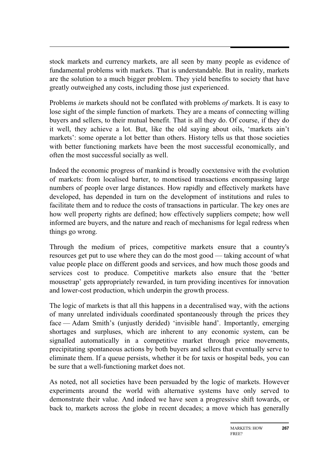stock markets and currency markets, are all seen by many people as evidence of fundamental problems with markets. That is understandable. But in reality, markets are the solution to a much bigger problem. They yield benefits to society that have greatly outweighed any costs, including those just experienced.

Problems *in* markets should not be conflated with problems *of* markets. It is easy to lose sight of the simple function of markets. They are a means of connecting willing buyers and sellers, to their mutual benefit. That is all they do. Of course, if they do it well, they achieve a lot. But, like the old saying about oils, 'markets ain't markets': some operate a lot better than others. History tells us that those societies with better functioning markets have been the most successful economically, and often the most successful socially as well.

Indeed the economic progress of mankind is broadly coextensive with the evolution of markets: from localised barter, to monetised transactions encompassing large numbers of people over large distances. How rapidly and effectively markets have developed, has depended in turn on the development of institutions and rules to facilitate them and to reduce the costs of transactions in particular. The key ones are how well property rights are defined; how effectively suppliers compete; how well informed are buyers, and the nature and reach of mechanisms for legal redress when things go wrong.

Through the medium of prices, competitive markets ensure that a country's resources get put to use where they can do the most good — taking account of what value people place on different goods and services, and how much those goods and services cost to produce. Competitive markets also ensure that the 'better mousetrap' gets appropriately rewarded, in turn providing incentives for innovation and lower-cost production, which underpin the growth process.

The logic of markets is that all this happens in a decentralised way, with the actions of many unrelated individuals coordinated spontaneously through the prices they face — Adam Smith's (unjustly derided) 'invisible hand'. Importantly, emerging shortages and surpluses, which are inherent to any economic system, can be signalled automatically in a competitive market through price movements, precipitating spontaneous actions by both buyers and sellers that eventually serve to eliminate them. If a queue persists, whether it be for taxis or hospital beds, you can be sure that a well-functioning market does not.

As noted, not all societies have been persuaded by the logic of markets. However experiments around the world with alternative systems have only served to demonstrate their value. And indeed we have seen a progressive shift towards, or back to, markets across the globe in recent decades; a move which has generally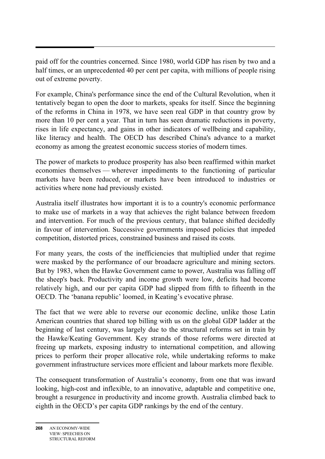paid off for the countries concerned. Since 1980, world GDP has risen by two and a half times, or an unprecedented 40 per cent per capita, with millions of people rising out of extreme poverty.

For example, China's performance since the end of the Cultural Revolution, when it tentatively began to open the door to markets, speaks for itself. Since the beginning of the reforms in China in 1978, we have seen real GDP in that country grow by more than 10 per cent a year. That in turn has seen dramatic reductions in poverty, rises in life expectancy, and gains in other indicators of wellbeing and capability, like literacy and health. The OECD has described China's advance to a market economy as among the greatest economic success stories of modern times.

The power of markets to produce prosperity has also been reaffirmed within market economies themselves — wherever impediments to the functioning of particular markets have been reduced, or markets have been introduced to industries or activities where none had previously existed.

Australia itself illustrates how important it is to a country's economic performance to make use of markets in a way that achieves the right balance between freedom and intervention. For much of the previous century, that balance shifted decidedly in favour of intervention. Successive governments imposed policies that impeded competition, distorted prices, constrained business and raised its costs.

For many years, the costs of the inefficiencies that multiplied under that regime were masked by the performance of our broadacre agriculture and mining sectors. But by 1983, when the Hawke Government came to power, Australia was falling off the sheep's back. Productivity and income growth were low, deficits had become relatively high, and our per capita GDP had slipped from fifth to fifteenth in the OECD. The 'banana republic' loomed, in Keating's evocative phrase.

The fact that we were able to reverse our economic decline, unlike those Latin American countries that shared top billing with us on the global GDP ladder at the beginning of last century, was largely due to the structural reforms set in train by the Hawke/Keating Government. Key strands of those reforms were directed at freeing up markets, exposing industry to international competition, and allowing prices to perform their proper allocative role, while undertaking reforms to make government infrastructure services more efficient and labour markets more flexible.

The consequent transformation of Australia's economy, from one that was inward looking, high-cost and inflexible, to an innovative, adaptable and competitive one, brought a resurgence in productivity and income growth. Australia climbed back to eighth in the OECD's per capita GDP rankings by the end of the century.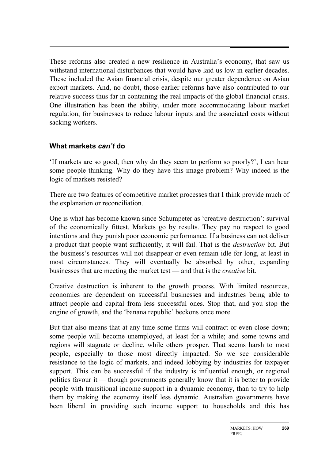These reforms also created a new resilience in Australia's economy, that saw us withstand international disturbances that would have laid us low in earlier decades. These included the Asian financial crisis, despite our greater dependence on Asian export markets. And, no doubt, those earlier reforms have also contributed to our relative success thus far in containing the real impacts of the global financial crisis. One illustration has been the ability, under more accommodating labour market regulation, for businesses to reduce labour inputs and the associated costs without sacking workers.

## **What markets** *can't* **do**

'If markets are so good, then why do they seem to perform so poorly?', I can hear some people thinking. Why do they have this image problem? Why indeed is the logic of markets resisted?

There are two features of competitive market processes that I think provide much of the explanation or reconciliation.

One is what has become known since Schumpeter as 'creative destruction': survival of the economically fittest. Markets go by results. They pay no respect to good intentions and they punish poor economic performance. If a business can not deliver a product that people want sufficiently, it will fail. That is the *destruction* bit. But the business's resources will not disappear or even remain idle for long, at least in most circumstances. They will eventually be absorbed by other, expanding businesses that are meeting the market test — and that is the *creative* bit.

Creative destruction is inherent to the growth process. With limited resources, economies are dependent on successful businesses and industries being able to attract people and capital from less successful ones. Stop that, and you stop the engine of growth, and the 'banana republic' beckons once more.

But that also means that at any time some firms will contract or even close down; some people will become unemployed, at least for a while; and some towns and regions will stagnate or decline, while others prosper. That seems harsh to most people, especially to those most directly impacted. So we see considerable resistance to the logic of markets, and indeed lobbying by industries for taxpayer support. This can be successful if the industry is influential enough, or regional politics favour it — though governments generally know that it is better to provide people with transitional income support in a dynamic economy, than to try to help them by making the economy itself less dynamic. Australian governments have been liberal in providing such income support to households and this has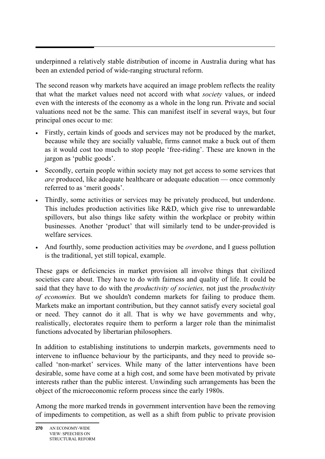underpinned a relatively stable distribution of income in Australia during what has been an extended period of wide-ranging structural reform.

The second reason why markets have acquired an image problem reflects the reality that what the market values need not accord with what *society* values, or indeed even with the interests of the economy as a whole in the long run. Private and social valuations need not be the same. This can manifest itself in several ways, but four principal ones occur to me:

- Firstly, certain kinds of goods and services may not be produced by the market, because while they are socially valuable, firms cannot make a buck out of them as it would cost too much to stop people 'free-riding'. These are known in the jargon as 'public goods'.
- Secondly, certain people within society may not get access to some services that *are* produced, like adequate healthcare or adequate education — once commonly referred to as 'merit goods'.
- Thirdly, some activities or services may be privately produced, but underdone. This includes production activities like R&D, which give rise to unrewardable spillovers, but also things like safety within the workplace or probity within businesses. Another 'product' that will similarly tend to be under-provided is welfare services.
- And fourthly, some production activities may be *over*done, and I guess pollution is the traditional, yet still topical, example.

These gaps or deficiencies in market provision all involve things that civilized societies care about. They have to do with fairness and quality of life. It could be said that they have to do with the *productivity of societies,* not just the *productivity of economies.* But we shouldn't condemn markets for failing to produce them. Markets make an important contribution, but they cannot satisfy every societal goal or need. They cannot do it all. That is why we have governments and why, realistically, electorates require them to perform a larger role than the minimalist functions advocated by libertarian philosophers.

In addition to establishing institutions to underpin markets, governments need to intervene to influence behaviour by the participants, and they need to provide socalled 'non-market' services. While many of the latter interventions have been desirable, some have come at a high cost, and some have been motivated by private interests rather than the public interest. Unwinding such arrangements has been the object of the microeconomic reform process since the early 1980s.

Among the more marked trends in government intervention have been the removing of impediments to competition, as well as a shift from public to private provision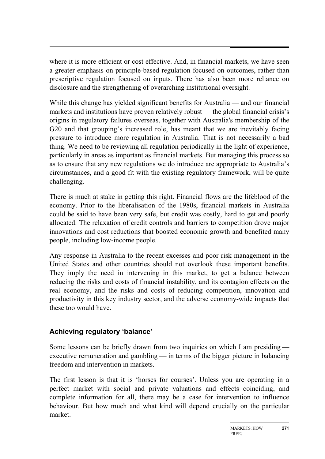where it is more efficient or cost effective. And, in financial markets, we have seen a greater emphasis on principle-based regulation focused on outcomes, rather than prescriptive regulation focused on inputs. There has also been more reliance on disclosure and the strengthening of overarching institutional oversight.

While this change has yielded significant benefits for Australia — and our financial markets and institutions have proven relatively robust — the global financial crisis's origins in regulatory failures overseas, together with Australia's membership of the G20 and that grouping's increased role, has meant that we are inevitably facing pressure to introduce more regulation in Australia. That is not necessarily a bad thing. We need to be reviewing all regulation periodically in the light of experience, particularly in areas as important as financial markets. But managing this process so as to ensure that any new regulations we do introduce are appropriate to Australia's circumstances, and a good fit with the existing regulatory framework, will be quite challenging.

There is much at stake in getting this right. Financial flows are the lifeblood of the economy. Prior to the liberalisation of the 1980s, financial markets in Australia could be said to have been very safe, but credit was costly, hard to get and poorly allocated. The relaxation of credit controls and barriers to competition drove major innovations and cost reductions that boosted economic growth and benefited many people, including low-income people.

Any response in Australia to the recent excesses and poor risk management in the United States and other countries should not overlook these important benefits. They imply the need in intervening in this market, to get a balance between reducing the risks and costs of financial instability, and its contagion effects on the real economy, and the risks and costs of reducing competition, innovation and productivity in this key industry sector, and the adverse economy-wide impacts that these too would have.

## **Achieving regulatory 'balance'**

Some lessons can be briefly drawn from two inquiries on which I am presiding executive remuneration and gambling — in terms of the bigger picture in balancing freedom and intervention in markets.

The first lesson is that it is 'horses for courses'. Unless you are operating in a perfect market with social and private valuations and effects coinciding, and complete information for all, there may be a case for intervention to influence behaviour. But how much and what kind will depend crucially on the particular market.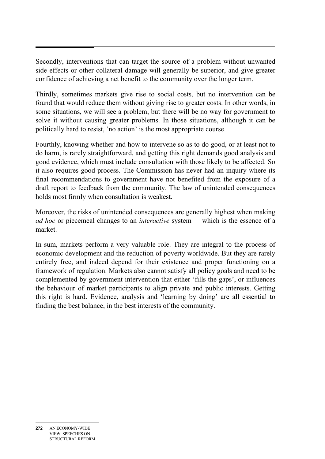Secondly, interventions that can target the source of a problem without unwanted side effects or other collateral damage will generally be superior, and give greater confidence of achieving a net benefit to the community over the longer term.

Thirdly, sometimes markets give rise to social costs, but no intervention can be found that would reduce them without giving rise to greater costs. In other words, in some situations, we will see a problem, but there will be no way for government to solve it without causing greater problems. In those situations, although it can be politically hard to resist, 'no action' is the most appropriate course.

Fourthly, knowing whether and how to intervene so as to do good, or at least not to do harm, is rarely straightforward, and getting this right demands good analysis and good evidence, which must include consultation with those likely to be affected. So it also requires good process. The Commission has never had an inquiry where its final recommendations to government have not benefited from the exposure of a draft report to feedback from the community. The law of unintended consequences holds most firmly when consultation is weakest.

Moreover, the risks of unintended consequences are generally highest when making *ad hoc* or piecemeal changes to an *interactive* system — which is the essence of a market.

In sum, markets perform a very valuable role. They are integral to the process of economic development and the reduction of poverty worldwide. But they are rarely entirely free, and indeed depend for their existence and proper functioning on a framework of regulation. Markets also cannot satisfy all policy goals and need to be complemented by government intervention that either 'fills the gaps', or influences the behaviour of market participants to align private and public interests. Getting this right is hard. Evidence, analysis and 'learning by doing' are all essential to finding the best balance, in the best interests of the community.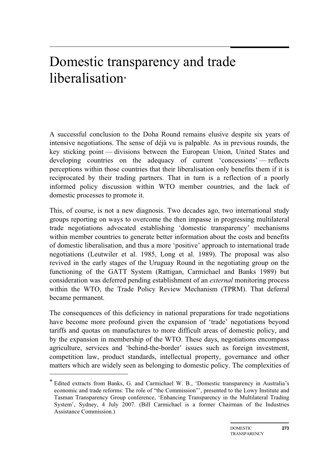## Domestic transparency and trade liberalisation\*

A successful conclusion to the Doha Round remains elusive despite six years of intensive negotiations. The sense of déjà vu is palpable. As in previous rounds, the key sticking point — divisions between the European Union, United States and developing countries on the adequacy of current 'concessions' — reflects perceptions within those countries that their liberalisation only benefits them if it is reciprocated by their trading partners. That in turn is a reflection of a poorly informed policy discussion within WTO member countries, and the lack of domestic processes to promote it.

This, of course, is not a new diagnosis. Two decades ago, two international study groups reporting on ways to overcome the then impasse in progressing multilateral trade negotiations advocated establishing 'domestic transparency' mechanisms within member countries to generate better information about the costs and benefits of domestic liberalisation, and thus a more 'positive' approach to international trade negotiations (Leutwiler et al. 1985, Long et al. 1989). The proposal was also revived in the early stages of the Uruguay Round in the negotiating group on the functioning of the GATT System (Rattigan, Carmichael and Banks 1989) but consideration was deferred pending establishment of an *external* monitoring process within the WTO, the Trade Policy Review Mechanism (TPRM). That deferral became permanent.

The consequences of this deficiency in national preparations for trade negotiations have become more profound given the expansion of 'trade' negotiations beyond tariffs and quotas on manufactures to more difficult areas of domestic policy, and by the expansion in membership of the WTO. These days, negotiations encompass agriculture, services and 'behind-the-border' issues such as foreign investment, competition law, product standards, intellectual property, governance and other matters which are widely seen as belonging to domestic policy. The complexities of

 $\overline{a}$ 

<sup>\*</sup> Edited extracts from Banks, G. and Carmichael W. B., 'Domestic transparency in Australia's economic and trade reforms: The role of "the Commission"', presented to the Lowy Institute and Tasman Transparency Group conference, 'Enhancing Transparency in the Multilateral Trading System', Sydney, 4 July 2007. (Bill Carmichael is a former Chairman of the Industries Assistance Commission.)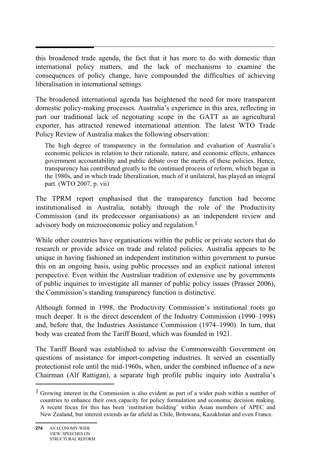this broadened trade agenda, the fact that it has more to do with domestic than international policy matters, and the lack of mechanisms to examine the consequences of policy change, have compounded the difficulties of achieving liberalisation in international settings.

The broadened international agenda has heightened the need for more transparent domestic policy-making processes. Australia's experience in this area, reflecting in part our traditional lack of negotiating scope in the GATT as an agricultural exporter, has attracted renewed international attention. The latest WTO Trade Policy Review of Australia makes the following observation:

The high degree of transparency in the formulation and evaluation of Australia's economic policies in relation to their rationale, nature, and economic effects, enhances government accountability and public debate over the merits of these policies. Hence, transparency has contributed greatly to the continued process of reform, which began in the 1980s, and in which trade liberalization, much of it unilateral, has played an integral part. (WTO 2007, p. vii)

The TPRM report emphasised that the transparency function had become institutionalised in Australia, notably through the role of the Productivity Commission (and its predecessor organisations) as an independent review and advisory body on microeconomic policy and regulation.1

While other countries have organisations within the public or private sectors that do research or provide advice on trade and related policies, Australia appears to be unique in having fashioned an independent institution within government to pursue this on an ongoing basis, using public processes and an explicit national interest perspective. Even within the Australian tradition of extensive use by governments of public inquiries to investigate all manner of public policy issues (Prasser 2006), the Commission's standing transparency function is distinctive.

Although formed in 1998, the Productivity Commission's institutional roots go much deeper. It is the direct descendent of the Industry Commission (1990–1998) and, before that, the Industries Assistance Commission (1974–1990). In turn, that body was created from the Tariff Board, which was founded in 1921.

The Tariff Board was established to advise the Commonwealth Government on questions of assistance for import-competing industries. It served an essentially protectionist role until the mid-1960s, when, under the combined influence of a new Chairman (Alf Rattigan), a separate high profile public inquiry into Australia's

 $\overline{a}$ 

<sup>&</sup>lt;sup>1</sup> Growing interest in the Commission is also evident as part of a wider push within a number of countries to enhance their own capacity for policy formulation and economic decision making. A recent focus for this has been 'institution building' within Asian members of APEC and New Zealand, but interest extends as far afield as Chile, Botswana, Kazakhstan and even France.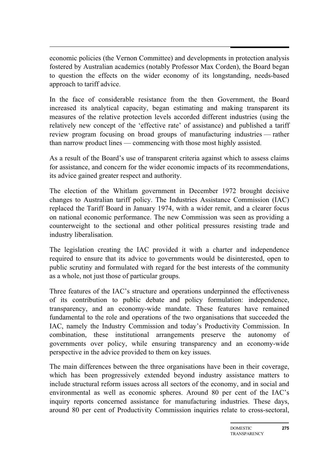economic policies (the Vernon Committee) and developments in protection analysis fostered by Australian academics (notably Professor Max Corden), the Board began to question the effects on the wider economy of its longstanding, needs-based approach to tariff advice.

In the face of considerable resistance from the then Government, the Board increased its analytical capacity, began estimating and making transparent its measures of the relative protection levels accorded different industries (using the relatively new concept of the 'effective rate' of assistance) and published a tariff review program focusing on broad groups of manufacturing industries — rather than narrow product lines — commencing with those most highly assisted.

As a result of the Board's use of transparent criteria against which to assess claims for assistance, and concern for the wider economic impacts of its recommendations, its advice gained greater respect and authority.

The election of the Whitlam government in December 1972 brought decisive changes to Australian tariff policy. The Industries Assistance Commission (IAC) replaced the Tariff Board in January 1974, with a wider remit, and a clearer focus on national economic performance. The new Commission was seen as providing a counterweight to the sectional and other political pressures resisting trade and industry liberalisation.

The legislation creating the IAC provided it with a charter and independence required to ensure that its advice to governments would be disinterested, open to public scrutiny and formulated with regard for the best interests of the community as a whole, not just those of particular groups.

Three features of the IAC's structure and operations underpinned the effectiveness of its contribution to public debate and policy formulation: independence, transparency, and an economy-wide mandate. These features have remained fundamental to the role and operations of the two organisations that succeeded the IAC, namely the Industry Commission and today's Productivity Commission. In combination, these institutional arrangements preserve the autonomy of governments over policy, while ensuring transparency and an economy-wide perspective in the advice provided to them on key issues.

The main differences between the three organisations have been in their coverage, which has been progressively extended beyond industry assistance matters to include structural reform issues across all sectors of the economy, and in social and environmental as well as economic spheres. Around 80 per cent of the IAC's inquiry reports concerned assistance for manufacturing industries. These days, around 80 per cent of Productivity Commission inquiries relate to cross-sectoral,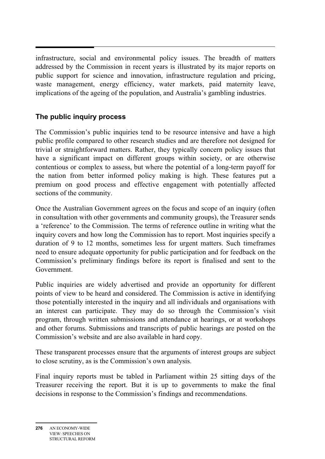$\ddot{\phantom{0}}$ infrastructure, social and environmental policy issues. The breadth of matters addressed by the Commission in recent years is illustrated by its major reports on public support for science and innovation, infrastructure regulation and pricing, waste management, energy efficiency, water markets, paid maternity leave, implications of the ageing of the population, and Australia's gambling industries.

## **The public inquiry process**

The Commission's public inquiries tend to be resource intensive and have a high public profile compared to other research studies and are therefore not designed for trivial or straightforward matters. Rather, they typically concern policy issues that have a significant impact on different groups within society, or are otherwise contentious or complex to assess, but where the potential of a long-term payoff for the nation from better informed policy making is high. These features put a premium on good process and effective engagement with potentially affected sections of the community.

Once the Australian Government agrees on the focus and scope of an inquiry (often in consultation with other governments and community groups), the Treasurer sends a 'reference' to the Commission. The terms of reference outline in writing what the inquiry covers and how long the Commission has to report. Most inquiries specify a duration of 9 to 12 months, sometimes less for urgent matters. Such timeframes need to ensure adequate opportunity for public participation and for feedback on the Commission's preliminary findings before its report is finalised and sent to the Government.

Public inquiries are widely advertised and provide an opportunity for different points of view to be heard and considered. The Commission is active in identifying those potentially interested in the inquiry and all individuals and organisations with an interest can participate. They may do so through the Commission's visit program, through written submissions and attendance at hearings, or at workshops and other forums. Submissions and transcripts of public hearings are posted on the Commission's website and are also available in hard copy.

These transparent processes ensure that the arguments of interest groups are subject to close scrutiny, as is the Commission's own analysis.

Final inquiry reports must be tabled in Parliament within 25 sitting days of the Treasurer receiving the report. But it is up to governments to make the final decisions in response to the Commission's findings and recommendations.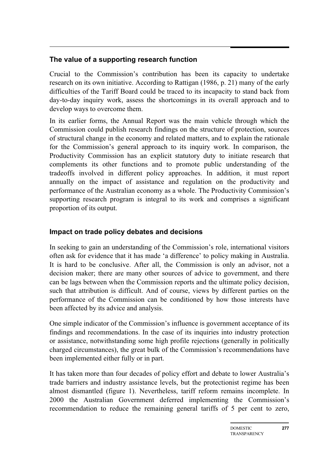## **The value of a supporting research function**

Crucial to the Commission's contribution has been its capacity to undertake research on its own initiative. According to Rattigan (1986, p. 21) many of the early difficulties of the Tariff Board could be traced to its incapacity to stand back from day-to-day inquiry work, assess the shortcomings in its overall approach and to develop ways to overcome them.

In its earlier forms, the Annual Report was the main vehicle through which the Commission could publish research findings on the structure of protection, sources of structural change in the economy and related matters, and to explain the rationale for the Commission's general approach to its inquiry work. In comparison, the Productivity Commission has an explicit statutory duty to initiate research that complements its other functions and to promote public understanding of the tradeoffs involved in different policy approaches. In addition, it must report annually on the impact of assistance and regulation on the productivity and performance of the Australian economy as a whole. The Productivity Commission's supporting research program is integral to its work and comprises a significant proportion of its output.

## **Impact on trade policy debates and decisions**

In seeking to gain an understanding of the Commission's role, international visitors often ask for evidence that it has made 'a difference' to policy making in Australia. It is hard to be conclusive. After all, the Commission is only an advisor, not a decision maker; there are many other sources of advice to government, and there can be lags between when the Commission reports and the ultimate policy decision, such that attribution is difficult. And of course, views by different parties on the performance of the Commission can be conditioned by how those interests have been affected by its advice and analysis.

One simple indicator of the Commission's influence is government acceptance of its findings and recommendations. In the case of its inquiries into industry protection or assistance, notwithstanding some high profile rejections (generally in politically charged circumstances), the great bulk of the Commission's recommendations have been implemented either fully or in part.

It has taken more than four decades of policy effort and debate to lower Australia's trade barriers and industry assistance levels, but the protectionist regime has been almost dismantled (figure 1). Nevertheless, tariff reform remains incomplete. In 2000 the Australian Government deferred implementing the Commission's recommendation to reduce the remaining general tariffs of 5 per cent to zero,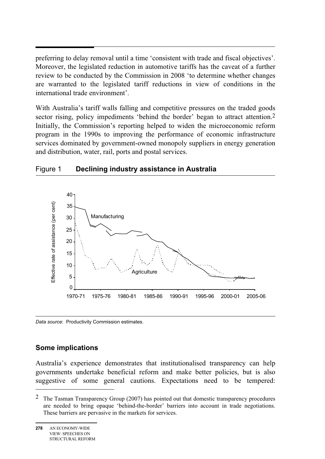preferring to delay removal until a time 'consistent with trade and fiscal objectives'. Moreover, the legislated reduction in automotive tariffs has the caveat of a further review to be conducted by the Commission in 2008 'to determine whether changes are warranted to the legislated tariff reductions in view of conditions in the international trade environment'.

With Australia's tariff walls falling and competitive pressures on the traded goods sector rising, policy impediments 'behind the border' began to attract attention.<sup>2</sup> Initially, the Commission's reporting helped to widen the microeconomic reform program in the 1990s to improving the performance of economic infrastructure services dominated by government-owned monopoly suppliers in energy generation and distribution, water, rail, ports and postal services.



#### Figure 1 **Declining industry assistance in Australia**

*Data source*: Productivity Commission estimates.

#### **Some implications**

Australia's experience demonstrates that institutionalised transparency can help governments undertake beneficial reform and make better policies, but is also suggestive of some general cautions. Expectations need to be tempered:

 $\overline{a}$ 

<sup>2</sup> The Tasman Transparency Group (2007) has pointed out that domestic transparency procedures are needed to bring opaque 'behind-the-border' barriers into account in trade negotiations. These barriers are pervasive in the markets for services.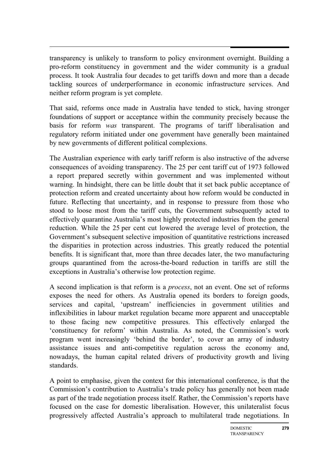transparency is unlikely to transform to policy environment overnight. Building a pro-reform constituency in government and the wider community is a gradual process. It took Australia four decades to get tariffs down and more than a decade tackling sources of underperformance in economic infrastructure services. And neither reform program is yet complete.

That said, reforms once made in Australia have tended to stick, having stronger foundations of support or acceptance within the community precisely because the basis for reform *was* transparent. The programs of tariff liberalisation and regulatory reform initiated under one government have generally been maintained by new governments of different political complexions.

The Australian experience with early tariff reform is also instructive of the adverse consequences of avoiding transparency. The 25 per cent tariff cut of 1973 followed a report prepared secretly within government and was implemented without warning. In hindsight, there can be little doubt that it set back public acceptance of protection reform and created uncertainty about how reform would be conducted in future. Reflecting that uncertainty, and in response to pressure from those who stood to loose most from the tariff cuts, the Government subsequently acted to effectively quarantine Australia's most highly protected industries from the general reduction. While the 25 per cent cut lowered the average level of protection, the Government's subsequent selective imposition of quantitative restrictions increased the disparities in protection across industries. This greatly reduced the potential benefits. It is significant that, more than three decades later, the two manufacturing groups quarantined from the across-the-board reduction in tariffs are still the exceptions in Australia's otherwise low protection regime.

A second implication is that reform is a *process*, not an event. One set of reforms exposes the need for others. As Australia opened its borders to foreign goods, services and capital, 'upstream' inefficiencies in government utilities and inflexibilities in labour market regulation became more apparent and unacceptable to those facing new competitive pressures. This effectively enlarged the 'constituency for reform' within Australia. As noted, the Commission's work program went increasingly 'behind the border', to cover an array of industry assistance issues and anti-competitive regulation across the economy and, nowadays, the human capital related drivers of productivity growth and living standards.

A point to emphasise, given the context for this international conference, is that the Commission's contribution to Australia's trade policy has generally not been made as part of the trade negotiation process itself. Rather, the Commission's reports have focused on the case for domestic liberalisation. However, this unilateralist focus progressively affected Australia's approach to multilateral trade negotiations. In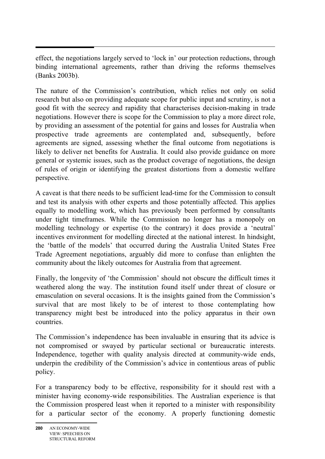effect, the negotiations largely served to 'lock in' our protection reductions, through binding international agreements, rather than driving the reforms themselves (Banks 2003b).

The nature of the Commission's contribution, which relies not only on solid research but also on providing adequate scope for public input and scrutiny, is not a good fit with the secrecy and rapidity that characterises decision-making in trade negotiations. However there is scope for the Commission to play a more direct role, by providing an assessment of the potential for gains and losses for Australia when prospective trade agreements are contemplated and, subsequently, before agreements are signed, assessing whether the final outcome from negotiations is likely to deliver net benefits for Australia. It could also provide guidance on more general or systemic issues, such as the product coverage of negotiations, the design of rules of origin or identifying the greatest distortions from a domestic welfare perspective.

A caveat is that there needs to be sufficient lead-time for the Commission to consult and test its analysis with other experts and those potentially affected. This applies equally to modelling work, which has previously been performed by consultants under tight timeframes. While the Commission no longer has a monopoly on modelling technology or expertise (to the contrary) it does provide a 'neutral' incentives environment for modelling directed at the national interest. In hindsight, the 'battle of the models' that occurred during the Australia United States Free Trade Agreement negotiations, arguably did more to confuse than enlighten the community about the likely outcomes for Australia from that agreement.

Finally, the longevity of 'the Commission' should not obscure the difficult times it weathered along the way. The institution found itself under threat of closure or emasculation on several occasions. It is the insights gained from the Commission's survival that are most likely to be of interest to those contemplating how transparency might best be introduced into the policy apparatus in their own countries.

The Commission's independence has been invaluable in ensuring that its advice is not compromised or swayed by particular sectional or bureaucratic interests. Independence, together with quality analysis directed at community-wide ends, underpin the credibility of the Commission's advice in contentious areas of public policy.

For a transparency body to be effective, responsibility for it should rest with a minister having economy-wide responsibilities. The Australian experience is that the Commission prospered least when it reported to a minister with responsibility for a particular sector of the economy. A properly functioning domestic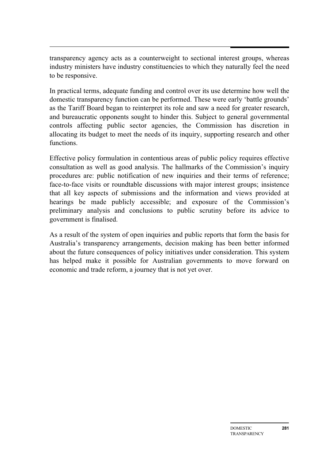transparency agency acts as a counterweight to sectional interest groups, whereas industry ministers have industry constituencies to which they naturally feel the need to be responsive.

In practical terms, adequate funding and control over its use determine how well the domestic transparency function can be performed. These were early 'battle grounds' as the Tariff Board began to reinterpret its role and saw a need for greater research, and bureaucratic opponents sought to hinder this. Subject to general governmental controls affecting public sector agencies, the Commission has discretion in allocating its budget to meet the needs of its inquiry, supporting research and other functions.

Effective policy formulation in contentious areas of public policy requires effective consultation as well as good analysis. The hallmarks of the Commission's inquiry procedures are: public notification of new inquiries and their terms of reference; face-to-face visits or roundtable discussions with major interest groups; insistence that all key aspects of submissions and the information and views provided at hearings be made publicly accessible; and exposure of the Commission's preliminary analysis and conclusions to public scrutiny before its advice to government is finalised.

As a result of the system of open inquiries and public reports that form the basis for Australia's transparency arrangements, decision making has been better informed about the future consequences of policy initiatives under consideration. This system has helped make it possible for Australian governments to move forward on economic and trade reform, a journey that is not yet over.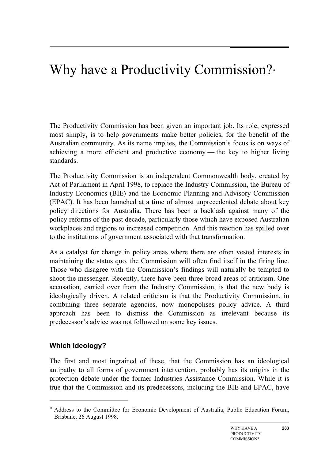## Why have a Productivity Commission?<sup>∗</sup>

The Productivity Commission has been given an important job. Its role, expressed most simply, is to help governments make better policies, for the benefit of the Australian community. As its name implies, the Commission's focus is on ways of achieving a more efficient and productive economy — the key to higher living standards.

The Productivity Commission is an independent Commonwealth body, created by Act of Parliament in April 1998, to replace the Industry Commission, the Bureau of Industry Economics (BIE) and the Economic Planning and Advisory Commission (EPAC). It has been launched at a time of almost unprecedented debate about key policy directions for Australia. There has been a backlash against many of the policy reforms of the past decade, particularly those which have exposed Australian workplaces and regions to increased competition. And this reaction has spilled over to the institutions of government associated with that transformation.

As a catalyst for change in policy areas where there are often vested interests in maintaining the status quo, the Commission will often find itself in the firing line. Those who disagree with the Commission's findings will naturally be tempted to shoot the messenger. Recently, there have been three broad areas of criticism. One accusation, carried over from the Industry Commission, is that the new body is ideologically driven. A related criticism is that the Productivity Commission, in combining three separate agencies, now monopolises policy advice. A third approach has been to dismiss the Commission as irrelevant because its predecessor's advice was not followed on some key issues.

## **Which ideology?**

 $\overline{a}$ 

The first and most ingrained of these, that the Commission has an ideological antipathy to all forms of government intervention, probably has its origins in the protection debate under the former Industries Assistance Commission. While it is true that the Commission and its predecessors, including the BIE and EPAC, have

<sup>∗</sup> Address to the Committee for Economic Development of Australia, Public Education Forum, Brisbane, 26 August 1998.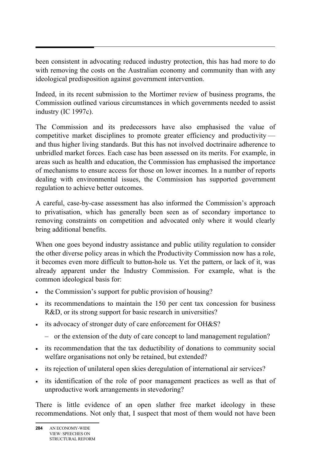been consistent in advocating reduced industry protection, this has had more to do with removing the costs on the Australian economy and community than with any ideological predisposition against government intervention.

Indeed, in its recent submission to the Mortimer review of business programs, the Commission outlined various circumstances in which governments needed to assist industry (IC 1997c).

The Commission and its predecessors have also emphasised the value of competitive market disciplines to promote greater efficiency and productivity and thus higher living standards. But this has not involved doctrinaire adherence to unbridled market forces. Each case has been assessed on its merits. For example, in areas such as health and education, the Commission has emphasised the importance of mechanisms to ensure access for those on lower incomes. In a number of reports dealing with environmental issues, the Commission has supported government regulation to achieve better outcomes.

A careful, case-by-case assessment has also informed the Commission's approach to privatisation, which has generally been seen as of secondary importance to removing constraints on competition and advocated only where it would clearly bring additional benefits.

When one goes beyond industry assistance and public utility regulation to consider the other diverse policy areas in which the Productivity Commission now has a role, it becomes even more difficult to button-hole us. Yet the pattern, or lack of it, was already apparent under the Industry Commission. For example, what is the common ideological basis for:

- the Commission's support for public provision of housing?
- its recommendations to maintain the 150 per cent tax concession for business R&D, or its strong support for basic research in universities?
- its advocacy of stronger duty of care enforcement for OH&S?
	- or the extension of the duty of care concept to land management regulation?
- its recommendation that the tax deductibility of donations to community social welfare organisations not only be retained, but extended?
- its rejection of unilateral open skies deregulation of international air services?
- its identification of the role of poor management practices as well as that of unproductive work arrangements in stevedoring?

There is little evidence of an open slather free market ideology in these recommendations. Not only that, I suspect that most of them would not have been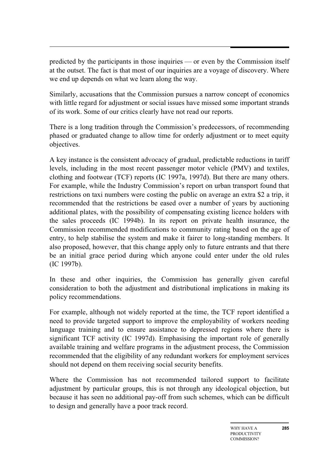predicted by the participants in those inquiries — or even by the Commission itself at the outset. The fact is that most of our inquiries are a voyage of discovery. Where we end up depends on what we learn along the way.

Similarly, accusations that the Commission pursues a narrow concept of economics with little regard for adjustment or social issues have missed some important strands of its work. Some of our critics clearly have not read our reports.

There is a long tradition through the Commission's predecessors, of recommending phased or graduated change to allow time for orderly adjustment or to meet equity objectives.

A key instance is the consistent advocacy of gradual, predictable reductions in tariff levels, including in the most recent passenger motor vehicle (PMV) and textiles, clothing and footwear (TCF) reports (IC 1997a, 1997d). But there are many others. For example, while the Industry Commission's report on urban transport found that restrictions on taxi numbers were costing the public on average an extra \$2 a trip, it recommended that the restrictions be eased over a number of years by auctioning additional plates, with the possibility of compensating existing licence holders with the sales proceeds (IC 1994b). In its report on private health insurance, the Commission recommended modifications to community rating based on the age of entry, to help stabilise the system and make it fairer to long-standing members. It also proposed, however, that this change apply only to future entrants and that there be an initial grace period during which anyone could enter under the old rules (IC 1997b).

In these and other inquiries, the Commission has generally given careful consideration to both the adjustment and distributional implications in making its policy recommendations.

For example, although not widely reported at the time, the TCF report identified a need to provide targeted support to improve the employability of workers needing language training and to ensure assistance to depressed regions where there is significant TCF activity (IC 1997d). Emphasising the important role of generally available training and welfare programs in the adjustment process, the Commission recommended that the eligibility of any redundant workers for employment services should not depend on them receiving social security benefits.

Where the Commission has not recommended tailored support to facilitate adjustment by particular groups, this is not through any ideological objection, but because it has seen no additional pay-off from such schemes, which can be difficult to design and generally have a poor track record.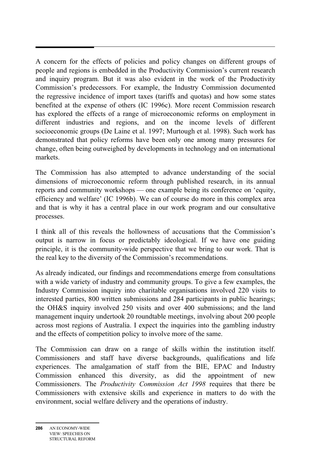A concern for the effects of policies and policy changes on different groups of people and regions is embedded in the Productivity Commission's current research and inquiry program. But it was also evident in the work of the Productivity Commission's predecessors. For example, the Industry Commission documented the regressive incidence of import taxes (tariffs and quotas) and how some states benefited at the expense of others (IC 1996c). More recent Commission research has explored the effects of a range of microeconomic reforms on employment in different industries and regions, and on the income levels of different socioeconomic groups (De Laine et al. 1997; Murtough et al. 1998). Such work has demonstrated that policy reforms have been only one among many pressures for change, often being outweighed by developments in technology and on international markets.

The Commission has also attempted to advance understanding of the social dimensions of microeconomic reform through published research, in its annual reports and community workshops — one example being its conference on 'equity, efficiency and welfare' (IC 1996b). We can of course do more in this complex area and that is why it has a central place in our work program and our consultative processes.

I think all of this reveals the hollowness of accusations that the Commission's output is narrow in focus or predictably ideological. If we have one guiding principle, it is the community-wide perspective that we bring to our work. That is the real key to the diversity of the Commission's recommendations.

As already indicated, our findings and recommendations emerge from consultations with a wide variety of industry and community groups. To give a few examples, the Industry Commission inquiry into charitable organisations involved 220 visits to interested parties, 800 written submissions and 284 participants in public hearings; the OH&S inquiry involved 250 visits and over 400 submissions; and the land management inquiry undertook 20 roundtable meetings, involving about 200 people across most regions of Australia. I expect the inquiries into the gambling industry and the effects of competition policy to involve more of the same.

The Commission can draw on a range of skills within the institution itself. Commissioners and staff have diverse backgrounds, qualifications and life experiences. The amalgamation of staff from the BIE, EPAC and Industry Commission enhanced this diversity, as did the appointment of new Commissioners. The *Productivity Commission Act 1998* requires that there be Commissioners with extensive skills and experience in matters to do with the environment, social welfare delivery and the operations of industry.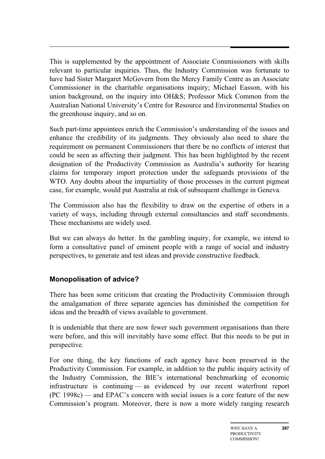This is supplemented by the appointment of Associate Commissioners with skills relevant to particular inquiries. Thus, the Industry Commission was fortunate to have had Sister Margaret McGovern from the Mercy Family Centre as an Associate Commissioner in the charitable organisations inquiry; Michael Easson, with his union background, on the inquiry into OH&S; Professor Mick Common from the Australian National University's Centre for Resource and Environmental Studies on the greenhouse inquiry, and so on.

Such part-time appointees enrich the Commission's understanding of the issues and enhance the credibility of its judgments. They obviously also need to share the requirement on permanent Commissioners that there be no conflicts of interest that could be seen as affecting their judgment. This has been highlighted by the recent designation of the Productivity Commission as Australia's authority for hearing claims for temporary import protection under the safeguards provisions of the WTO. Any doubts about the impartiality of those processes in the current pigmeat case, for example, would put Australia at risk of subsequent challenge in Geneva.

The Commission also has the flexibility to draw on the expertise of others in a variety of ways, including through external consultancies and staff secondments. These mechanisms are widely used.

But we can always do better. In the gambling inquiry, for example, we intend to form a consultative panel of eminent people with a range of social and industry perspectives, to generate and test ideas and provide constructive feedback.

### **Monopolisation of advice?**

There has been some criticism that creating the Productivity Commission through the amalgamation of three separate agencies has diminished the competition for ideas and the breadth of views available to government.

It is undeniable that there are now fewer such government organisations than there were before, and this will inevitably have some effect. But this needs to be put in perspective.

For one thing, the key functions of each agency have been preserved in the Productivity Commission. For example, in addition to the public inquiry activity of the Industry Commission, the BIE's international benchmarking of economic infrastructure is continuing — as evidenced by our recent waterfront report (PC 1998c) — and EPAC's concern with social issues is a core feature of the new Commission's program. Moreover, there is now a more widely ranging research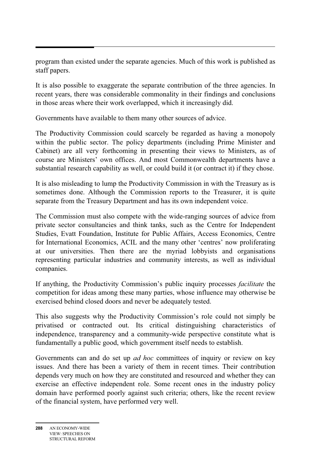program than existed under the separate agencies. Much of this work is published as staff papers.

It is also possible to exaggerate the separate contribution of the three agencies. In recent years, there was considerable commonality in their findings and conclusions in those areas where their work overlapped, which it increasingly did.

Governments have available to them many other sources of advice.

The Productivity Commission could scarcely be regarded as having a monopoly within the public sector. The policy departments (including Prime Minister and Cabinet) are all very forthcoming in presenting their views to Ministers, as of course are Ministers' own offices. And most Commonwealth departments have a substantial research capability as well, or could build it (or contract it) if they chose.

It is also misleading to lump the Productivity Commission in with the Treasury as is sometimes done. Although the Commission reports to the Treasurer, it is quite separate from the Treasury Department and has its own independent voice.

The Commission must also compete with the wide-ranging sources of advice from private sector consultancies and think tanks, such as the Centre for Independent Studies, Evatt Foundation, Institute for Public Affairs, Access Economics, Centre for International Economics, ACIL and the many other 'centres' now proliferating at our universities. Then there are the myriad lobbyists and organisations representing particular industries and community interests, as well as individual companies.

If anything, the Productivity Commission's public inquiry processes *facilitate* the competition for ideas among these many parties, whose influence may otherwise be exercised behind closed doors and never be adequately tested.

This also suggests why the Productivity Commission's role could not simply be privatised or contracted out. Its critical distinguishing characteristics of independence, transparency and a community-wide perspective constitute what is fundamentally a public good, which government itself needs to establish.

Governments can and do set up *ad hoc* committees of inquiry or review on key issues. And there has been a variety of them in recent times. Their contribution depends very much on how they are constituted and resourced and whether they can exercise an effective independent role. Some recent ones in the industry policy domain have performed poorly against such criteria; others, like the recent review of the financial system, have performed very well.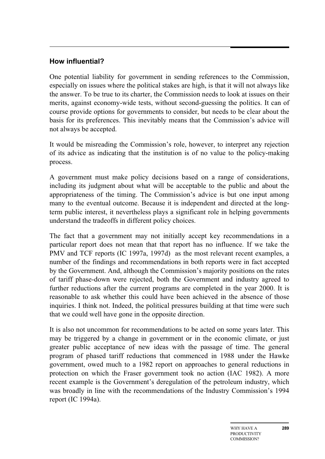## **How influential?**

One potential liability for government in sending references to the Commission, especially on issues where the political stakes are high, is that it will not always like the answer. To be true to its charter, the Commission needs to look at issues on their merits, against economy-wide tests, without second-guessing the politics. It can of course provide options for governments to consider, but needs to be clear about the basis for its preferences. This inevitably means that the Commission's advice will not always be accepted.

It would be misreading the Commission's role, however, to interpret any rejection of its advice as indicating that the institution is of no value to the policy-making process.

A government must make policy decisions based on a range of considerations, including its judgment about what will be acceptable to the public and about the appropriateness of the timing. The Commission's advice is but one input among many to the eventual outcome. Because it is independent and directed at the longterm public interest, it nevertheless plays a significant role in helping governments understand the tradeoffs in different policy choices.

The fact that a government may not initially accept key recommendations in a particular report does not mean that that report has no influence. If we take the PMV and TCF reports (IC 1997a, 1997d) as the most relevant recent examples, a number of the findings and recommendations in both reports were in fact accepted by the Government. And, although the Commission's majority positions on the rates of tariff phase-down were rejected, both the Government and industry agreed to further reductions after the current programs are completed in the year 2000. It is reasonable to ask whether this could have been achieved in the absence of those inquiries. I think not. Indeed, the political pressures building at that time were such that we could well have gone in the opposite direction.

It is also not uncommon for recommendations to be acted on some years later. This may be triggered by a change in government or in the economic climate, or just greater public acceptance of new ideas with the passage of time. The general program of phased tariff reductions that commenced in 1988 under the Hawke government, owed much to a 1982 report on approaches to general reductions in protection on which the Fraser government took no action (IAC 1982). A more recent example is the Government's deregulation of the petroleum industry, which was broadly in line with the recommendations of the Industry Commission's 1994 report (IC 1994a).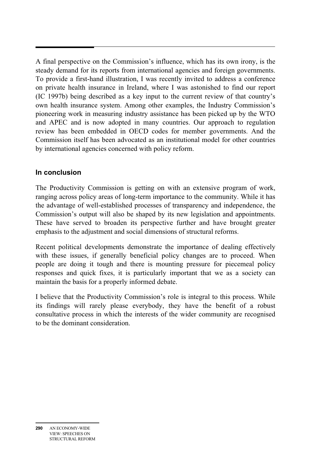A final perspective on the Commission's influence, which has its own irony, is the steady demand for its reports from international agencies and foreign governments. To provide a first-hand illustration, I was recently invited to address a conference on private health insurance in Ireland, where I was astonished to find our report (IC 1997b) being described as a key input to the current review of that country's own health insurance system. Among other examples, the Industry Commission's pioneering work in measuring industry assistance has been picked up by the WTO and APEC and is now adopted in many countries. Our approach to regulation review has been embedded in OECD codes for member governments. And the Commission itself has been advocated as an institutional model for other countries by international agencies concerned with policy reform.

## **In conclusion**

The Productivity Commission is getting on with an extensive program of work, ranging across policy areas of long-term importance to the community. While it has the advantage of well-established processes of transparency and independence, the Commission's output will also be shaped by its new legislation and appointments. These have served to broaden its perspective further and have brought greater emphasis to the adjustment and social dimensions of structural reforms.

Recent political developments demonstrate the importance of dealing effectively with these issues, if generally beneficial policy changes are to proceed. When people are doing it tough and there is mounting pressure for piecemeal policy responses and quick fixes, it is particularly important that we as a society can maintain the basis for a properly informed debate.

I believe that the Productivity Commission's role is integral to this process. While its findings will rarely please everybody, they have the benefit of a robust consultative process in which the interests of the wider community are recognised to be the dominant consideration.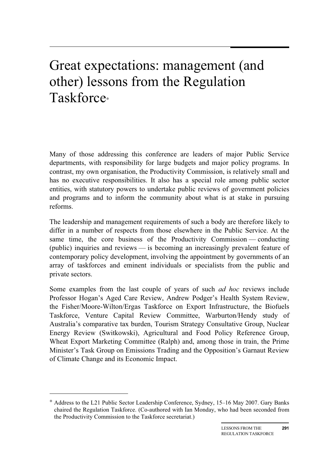# Great expectations: management (and other) lessons from the Regulation Taskforce<sup>∗</sup>

Many of those addressing this conference are leaders of major Public Service departments, with responsibility for large budgets and major policy programs. In contrast, my own organisation, the Productivity Commission, is relatively small and has no executive responsibilities. It also has a special role among public sector entities, with statutory powers to undertake public reviews of government policies and programs and to inform the community about what is at stake in pursuing reforms.

The leadership and management requirements of such a body are therefore likely to differ in a number of respects from those elsewhere in the Public Service. At the same time, the core business of the Productivity Commission — conducting (public) inquiries and reviews — is becoming an increasingly prevalent feature of contemporary policy development, involving the appointment by governments of an array of taskforces and eminent individuals or specialists from the public and private sectors.

Some examples from the last couple of years of such *ad hoc* reviews include Professor Hogan's Aged Care Review, Andrew Podger's Health System Review, the Fisher/Moore-Wilton/Ergas Taskforce on Export Infrastructure, the Biofuels Taskforce, Venture Capital Review Committee, Warburton/Hendy study of Australia's comparative tax burden, Tourism Strategy Consultative Group, Nuclear Energy Review (Switkowski), Agricultural and Food Policy Reference Group, Wheat Export Marketing Committee (Ralph) and, among those in train, the Prime Minister's Task Group on Emissions Trading and the Opposition's Garnaut Review of Climate Change and its Economic Impact.

 $\overline{a}$ 

<sup>∗</sup> Address to the L21 Public Sector Leadership Conference, Sydney, 15–16 May 2007. Gary Banks chaired the Regulation Taskforce. (Co-authored with Ian Monday, who had been seconded from the Productivity Commission to the Taskforce secretariat.)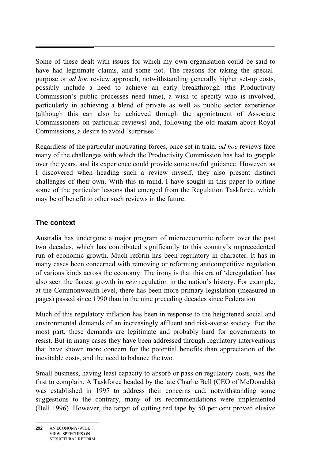Some of these dealt with issues for which my own organisation could be said to have had legitimate claims, and some not. The reasons for taking the specialpurpose or *ad hoc* review approach, notwithstanding generally higher set-up costs, possibly include a need to achieve an early breakthrough (the Productivity Commission's public processes need time), a wish to specify who is involved, particularly in achieving a blend of private as well as public sector experience (although this can also be achieved through the appointment of Associate Commissioners on particular reviews) and, following the old maxim about Royal Commissions, a desire to avoid 'surprises'.

Regardless of the particular motivating forces, once set in train, *ad hoc* reviews face many of the challenges with which the Productivity Commission has had to grapple over the years, and its experience could provide some useful guidance. However, as I discovered when heading such a review myself, they also present distinct challenges of their own. With this in mind, I have sought in this paper to outline some of the particular lessons that emerged from the Regulation Taskforce, which may be of benefit to other such reviews in the future.

## **The context**

Australia has undergone a major program of microeconomic reform over the past two decades, which has contributed significantly to this country's unprecedented run of economic growth. Much reform has been regulatory in character. It has in many cases been concerned with removing or reforming anticompetitive regulation of various kinds across the economy. The irony is that this era of 'deregulation' has also seen the fastest growth in *new* regulation in the nation's history. For example, at the Commonwealth level, there has been more primary legislation (measured in pages) passed since 1990 than in the nine preceding decades since Federation.

Much of this regulatory inflation has been in response to the heightened social and environmental demands of an increasingly affluent and risk-averse society. For the most part, these demands are legitimate and probably hard for governments to resist. But in many cases they have been addressed through regulatory interventions that have shown more concern for the potential benefits than appreciation of the inevitable costs, and the need to balance the two.

Small business, having least capacity to absorb or pass on regulatory costs, was the first to complain. A Taskforce headed by the late Charlie Bell (CEO of McDonalds) was established in 1997 to address their concerns and, notwithstanding some suggestions to the contrary, many of its recommendations were implemented (Bell 1996). However, the target of cutting red tape by 50 per cent proved elusive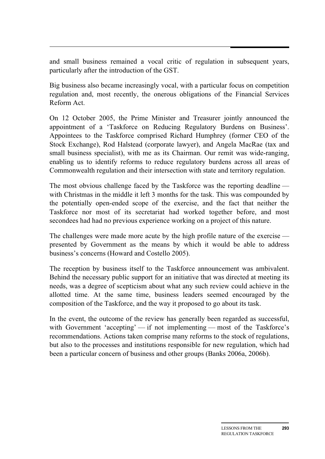and small business remained a vocal critic of regulation in subsequent years, particularly after the introduction of the GST.

Big business also became increasingly vocal, with a particular focus on competition regulation and, most recently, the onerous obligations of the Financial Services Reform Act.

On 12 October 2005, the Prime Minister and Treasurer jointly announced the appointment of a 'Taskforce on Reducing Regulatory Burdens on Business'. Appointees to the Taskforce comprised Richard Humphrey (former CEO of the Stock Exchange), Rod Halstead (corporate lawyer), and Angela MacRae (tax and small business specialist), with me as its Chairman. Our remit was wide-ranging, enabling us to identify reforms to reduce regulatory burdens across all areas of Commonwealth regulation and their intersection with state and territory regulation.

The most obvious challenge faced by the Taskforce was the reporting deadline with Christmas in the middle it left 3 months for the task. This was compounded by the potentially open-ended scope of the exercise, and the fact that neither the Taskforce nor most of its secretariat had worked together before, and most secondees had had no previous experience working on a project of this nature.

The challenges were made more acute by the high profile nature of the exercise presented by Government as the means by which it would be able to address business's concerns (Howard and Costello 2005).

The reception by business itself to the Taskforce announcement was ambivalent. Behind the necessary public support for an initiative that was directed at meeting its needs, was a degree of scepticism about what any such review could achieve in the allotted time. At the same time, business leaders seemed encouraged by the composition of the Taskforce, and the way it proposed to go about its task.

In the event, the outcome of the review has generally been regarded as successful, with Government 'accepting' — if not implementing — most of the Taskforce's recommendations. Actions taken comprise many reforms to the stock of regulations, but also to the processes and institutions responsible for new regulation, which had been a particular concern of business and other groups (Banks 2006a, 2006b).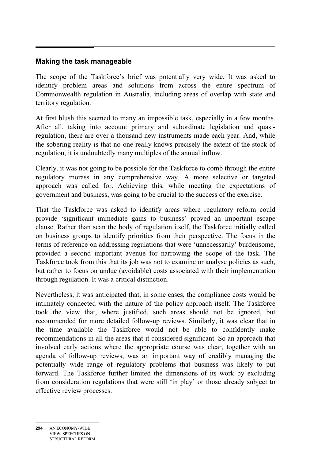### **Making the task manageable**

The scope of the Taskforce's brief was potentially very wide. It was asked to identify problem areas and solutions from across the entire spectrum of Commonwealth regulation in Australia, including areas of overlap with state and territory regulation.

At first blush this seemed to many an impossible task, especially in a few months. After all, taking into account primary and subordinate legislation and quasiregulation, there are over a thousand new instruments made each year. And, while the sobering reality is that no-one really knows precisely the extent of the stock of regulation, it is undoubtedly many multiples of the annual inflow.

Clearly, it was not going to be possible for the Taskforce to comb through the entire regulatory morass in any comprehensive way. A more selective or targeted approach was called for. Achieving this, while meeting the expectations of government and business, was going to be crucial to the success of the exercise.

That the Taskforce was asked to identify areas where regulatory reform could provide 'significant immediate gains to business' proved an important escape clause. Rather than scan the body of regulation itself, the Taskforce initially called on business groups to identify priorities from their perspective. The focus in the terms of reference on addressing regulations that were 'unnecessarily' burdensome, provided a second important avenue for narrowing the scope of the task. The Taskforce took from this that its job was not to examine or analyse policies as such, but rather to focus on undue (avoidable) costs associated with their implementation through regulation. It was a critical distinction.

Nevertheless, it was anticipated that, in some cases, the compliance costs would be intimately connected with the nature of the policy approach itself. The Taskforce took the view that, where justified, such areas should not be ignored, but recommended for more detailed follow-up reviews. Similarly, it was clear that in the time available the Taskforce would not be able to confidently make recommendations in all the areas that it considered significant. So an approach that involved early actions where the appropriate course was clear, together with an agenda of follow-up reviews, was an important way of credibly managing the potentially wide range of regulatory problems that business was likely to put forward. The Taskforce further limited the dimensions of its work by excluding from consideration regulations that were still 'in play' or those already subject to effective review processes.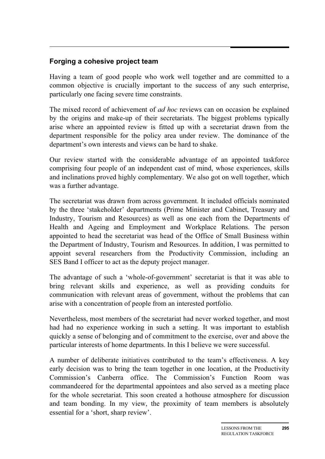## **Forging a cohesive project team**

Having a team of good people who work well together and are committed to a common objective is crucially important to the success of any such enterprise, particularly one facing severe time constraints.

The mixed record of achievement of *ad hoc* reviews can on occasion be explained by the origins and make-up of their secretariats. The biggest problems typically arise where an appointed review is fitted up with a secretariat drawn from the department responsible for the policy area under review. The dominance of the department's own interests and views can be hard to shake.

Our review started with the considerable advantage of an appointed taskforce comprising four people of an independent cast of mind, whose experiences, skills and inclinations proved highly complementary. We also got on well together, which was a further advantage.

The secretariat was drawn from across government. It included officials nominated by the three 'stakeholder' departments (Prime Minister and Cabinet, Treasury and Industry, Tourism and Resources) as well as one each from the Departments of Health and Ageing and Employment and Workplace Relations. The person appointed to head the secretariat was head of the Office of Small Business within the Department of Industry, Tourism and Resources. In addition, I was permitted to appoint several researchers from the Productivity Commission, including an SES Band I officer to act as the deputy project manager.

The advantage of such a 'whole-of-government' secretariat is that it was able to bring relevant skills and experience, as well as providing conduits for communication with relevant areas of government, without the problems that can arise with a concentration of people from an interested portfolio.

Nevertheless, most members of the secretariat had never worked together, and most had had no experience working in such a setting. It was important to establish quickly a sense of belonging and of commitment to the exercise, over and above the particular interests of home departments. In this I believe we were successful.

A number of deliberate initiatives contributed to the team's effectiveness. A key early decision was to bring the team together in one location, at the Productivity Commission's Canberra office. The Commission's Function Room was commandeered for the departmental appointees and also served as a meeting place for the whole secretariat. This soon created a hothouse atmosphere for discussion and team bonding. In my view, the proximity of team members is absolutely essential for a 'short, sharp review'.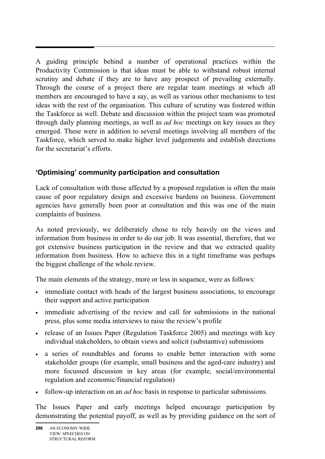A guiding principle behind a number of operational practices within the Productivity Commission is that ideas must be able to withstand robust internal scrutiny and debate if they are to have any prospect of prevailing externally. Through the course of a project there are regular team meetings at which all members are encouraged to have a say, as well as various other mechanisms to test ideas with the rest of the organisation. This culture of scrutiny was fostered within the Taskforce as well. Debate and discussion within the project team was promoted through daily planning meetings, as well as *ad hoc* meetings on key issues as they emerged. These were in addition to several meetings involving all members of the Taskforce, which served to make higher level judgements and establish directions for the secretariat's efforts.

## **'Optimising' community participation and consultation**

Lack of consultation with those affected by a proposed regulation is often the main cause of poor regulatory design and excessive burdens on business. Government agencies have generally been poor at consultation and this was one of the main complaints of business.

As noted previously, we deliberately chose to rely heavily on the views and information from business in order to do our job. It was essential, therefore, that we got extensive business participation in the review and that we extracted quality information from business. How to achieve this in a tight timeframe was perhaps the biggest challenge of the whole review.

The main elements of the strategy, more or less in sequence, were as follows:

- immediate contact with heads of the largest business associations, to encourage their support and active participation
- immediate advertising of the review and call for submissions in the national press, plus some media interviews to raise the review's profile
- release of an Issues Paper (Regulation Taskforce 2005) and meetings with key individual stakeholders, to obtain views and solicit (substantive) submissions
- a series of roundtables and forums to enable better interaction with some stakeholder groups (for example, small business and the aged-care industry) and more focussed discussion in key areas (for example, social/environmental regulation and economic/financial regulation)
- follow-up interaction on an *ad hoc* basis in response to particular submissions.

The Issues Paper and early meetings helped encourage participation by demonstrating the potential payoff, as well as by providing guidance on the sort of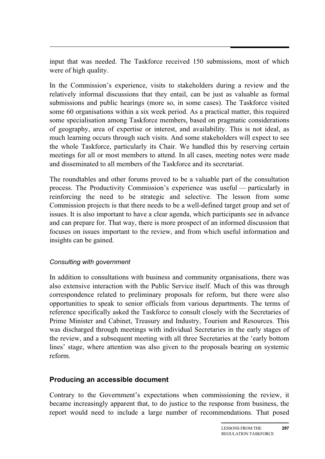input that was needed. The Taskforce received 150 submissions, most of which were of high quality.

In the Commission's experience, visits to stakeholders during a review and the relatively informal discussions that they entail, can be just as valuable as formal submissions and public hearings (more so, in some cases). The Taskforce visited some 60 organisations within a six week period. As a practical matter, this required some specialisation among Taskforce members, based on pragmatic considerations of geography, area of expertise or interest, and availability. This is not ideal, as much learning occurs through such visits. And some stakeholders will expect to see the whole Taskforce, particularly its Chair. We handled this by reserving certain meetings for all or most members to attend. In all cases, meeting notes were made and disseminated to all members of the Taskforce and its secretariat.

The roundtables and other forums proved to be a valuable part of the consultation process. The Productivity Commission's experience was useful — particularly in reinforcing the need to be strategic and selective. The lesson from some Commission projects is that there needs to be a well-defined target group and set of issues. It is also important to have a clear agenda, which participants see in advance and can prepare for. That way, there is more prospect of an informed discussion that focuses on issues important to the review, and from which useful information and insights can be gained.

#### *Consulting with government*

In addition to consultations with business and community organisations, there was also extensive interaction with the Public Service itself. Much of this was through correspondence related to preliminary proposals for reform, but there were also opportunities to speak to senior officials from various departments. The terms of reference specifically asked the Taskforce to consult closely with the Secretaries of Prime Minister and Cabinet, Treasury and Industry, Tourism and Resources. This was discharged through meetings with individual Secretaries in the early stages of the review, and a subsequent meeting with all three Secretaries at the 'early bottom lines' stage, where attention was also given to the proposals bearing on systemic reform.

### **Producing an accessible document**

Contrary to the Government's expectations when commissioning the review, it became increasingly apparent that, to do justice to the response from business, the report would need to include a large number of recommendations. That posed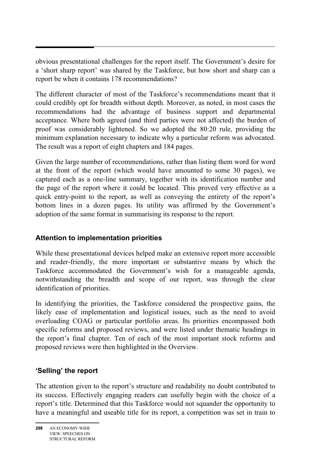obvious presentational challenges for the report itself. The Government's desire for a 'short sharp report' was shared by the Taskforce, but how short and sharp can a report be when it contains 178 recommendations?

The different character of most of the Taskforce's recommendations meant that it could credibly opt for breadth without depth. Moreover, as noted, in most cases the recommendations had the advantage of business support and departmental acceptance. Where both agreed (and third parties were not affected) the burden of proof was considerably lightened. So we adopted the 80:20 rule, providing the minimum explanation necessary to indicate why a particular reform was advocated. The result was a report of eight chapters and 184 pages.

Given the large number of recommendations, rather than listing them word for word at the front of the report (which would have amounted to some 30 pages), we captured each as a one-line summary, together with its identification number and the page of the report where it could be located. This proved very effective as a quick entry-point to the report, as well as conveying the entirety of the report's bottom lines in a dozen pages. Its utility was affirmed by the Government's adoption of the same format in summarising its response to the report.

## **Attention to implementation priorities**

While these presentational devices helped make an extensive report more accessible and reader-friendly, the more important or substantive means by which the Taskforce accommodated the Government's wish for a manageable agenda, notwithstanding the breadth and scope of our report, was through the clear identification of priorities.

In identifying the priorities, the Taskforce considered the prospective gains, the likely ease of implementation and logistical issues, such as the need to avoid overloading COAG or particular portfolio areas. Its priorities encompassed both specific reforms and proposed reviews, and were listed under thematic headings in the report's final chapter. Ten of each of the most important stock reforms and proposed reviews were then highlighted in the Overview.

## **'Selling' the report**

The attention given to the report's structure and readability no doubt contributed to its success. Effectively engaging readers can usefully begin with the choice of a report's title. Determined that this Taskforce would not squander the opportunity to have a meaningful and useable title for its report, a competition was set in train to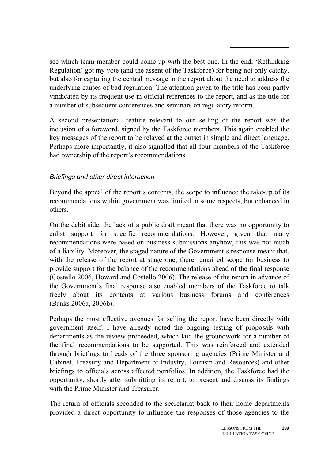see which team member could come up with the best one. In the end, 'Rethinking Regulation' got my vote (and the assent of the Taskforce) for being not only catchy, but also for capturing the central message in the report about the need to address the underlying causes of bad regulation. The attention given to the title has been partly vindicated by its frequent use in official references to the report, and as the title for a number of subsequent conferences and seminars on regulatory reform.

A second presentational feature relevant to our selling of the report was the inclusion of a foreword, signed by the Taskforce members. This again enabled the key messages of the report to be relayed at the outset in simple and direct language. Perhaps more importantly, it also signalled that all four members of the Taskforce had ownership of the report's recommendations.

### *Briefings and other direct interaction*

Beyond the appeal of the report's contents, the scope to influence the take-up of its recommendations within government was limited in some respects, but enhanced in others.

On the debit side, the lack of a public draft meant that there was no opportunity to enlist support for specific recommendations. However, given that many recommendations were based on business submissions anyhow, this was not much of a liability. Moreover, the staged nature of the Government's response meant that, with the release of the report at stage one, there remained scope for business to provide support for the balance of the recommendations ahead of the final response (Costello 2006, Howard and Costello 2006). The release of the report in advance of the Government's final response also enabled members of the Taskforce to talk freely about its contents at various business forums and conferences (Banks 2006a, 2006b).

Perhaps the most effective avenues for selling the report have been directly with government itself. I have already noted the ongoing testing of proposals with departments as the review proceeded, which laid the groundwork for a number of the final recommendations to be supported. This was reinforced and extended through briefings to heads of the three sponsoring agencies (Prime Minister and Cabinet, Treasury and Department of Industry, Tourism and Resources) and other briefings to officials across affected portfolios. In addition, the Taskforce had the opportunity, shortly after submitting its report, to present and discuss its findings with the Prime Minister and Treasurer.

The return of officials seconded to the secretariat back to their home departments provided a direct opportunity to influence the responses of those agencies to the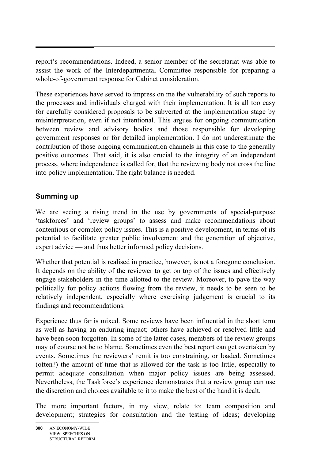report's recommendations. Indeed, a senior member of the secretariat was able to assist the work of the Interdepartmental Committee responsible for preparing a whole-of-government response for Cabinet consideration.

These experiences have served to impress on me the vulnerability of such reports to the processes and individuals charged with their implementation. It is all too easy for carefully considered proposals to be subverted at the implementation stage by misinterpretation, even if not intentional. This argues for ongoing communication between review and advisory bodies and those responsible for developing government responses or for detailed implementation. I do not underestimate the contribution of those ongoing communication channels in this case to the generally positive outcomes. That said, it is also crucial to the integrity of an independent process, where independence is called for, that the reviewing body not cross the line into policy implementation. The right balance is needed.

### **Summing up**

We are seeing a rising trend in the use by governments of special-purpose 'taskforces' and 'review groups' to assess and make recommendations about contentious or complex policy issues. This is a positive development, in terms of its potential to facilitate greater public involvement and the generation of objective, expert advice — and thus better informed policy decisions.

Whether that potential is realised in practice, however, is not a foregone conclusion. It depends on the ability of the reviewer to get on top of the issues and effectively engage stakeholders in the time allotted to the review. Moreover, to pave the way politically for policy actions flowing from the review, it needs to be seen to be relatively independent, especially where exercising judgement is crucial to its findings and recommendations.

Experience thus far is mixed. Some reviews have been influential in the short term as well as having an enduring impact; others have achieved or resolved little and have been soon forgotten. In some of the latter cases, members of the review groups may of course not be to blame. Sometimes even the best report can get overtaken by events. Sometimes the reviewers' remit is too constraining, or loaded. Sometimes (often?) the amount of time that is allowed for the task is too little, especially to permit adequate consultation when major policy issues are being assessed. Nevertheless, the Taskforce's experience demonstrates that a review group can use the discretion and choices available to it to make the best of the hand it is dealt.

The more important factors, in my view, relate to: team composition and development; strategies for consultation and the testing of ideas; developing